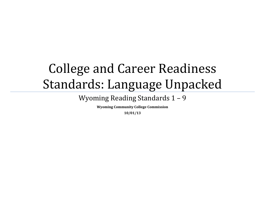# College and Career Readiness Standards: Language Unpacked

Wyoming Reading Standards 1 – 9

**Wyoming Community College Commission**

**10/01/13**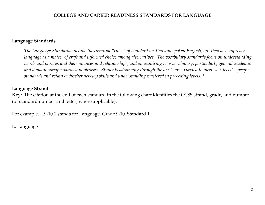#### **Language Standards**

*The Language Standards include the essential "rules" of standard written and spoken English, but they also approach language as a matter of craft and informed choice among alternatives. The vocabulary standards focus on understanding words and phrases and their nuances and relationships, and on acquiring new vocabulary, particularly general academic and domain-specific words and phrases. Students advancing through the levels are expected to meet each level's specific standards and retain or further develop skills and understanding mastered in preceding levels. <sup>9</sup>*

#### **Language Strand**

**Key:** The citation at the end of each standard in the following chart identifies the CCSS strand, grade, and number (or standard number and letter, where applicable).

For example, L.9-10.1 stands for Language, Grade 9-10, Standard 1.

L: Language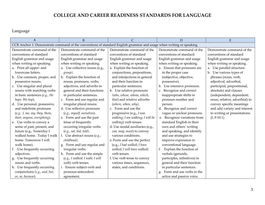Language

| A                             | $\overline{B}$                  |                                                                                                                     | D                            | E                             |
|-------------------------------|---------------------------------|---------------------------------------------------------------------------------------------------------------------|------------------------------|-------------------------------|
|                               |                                 | CCR Anchor 1: Demonstrate command of the conventions of standard English grammar and usage when writing or speaking |                              |                               |
| Demonstrate command of the    | Demonstrate command of the      | Demonstrate command of the                                                                                          | Demonstrate command of the   | Demonstrate command of the    |
| conventions of standard       | conventions of standard         | conventions of standard                                                                                             | conventions of standard      | conventions of standard       |
| English grammar and usage     | English grammar and usage       | English grammar and usage                                                                                           | English grammar and usage    | English grammar and usage     |
| when writing or speaking.     | when writing or speaking.       | when writing or speaking.                                                                                           | when writing or speaking.    | when writing or speaking.     |
| a. Print all upper- and       | a. Use collective nouns (e.g.,  | a. Explain the function of                                                                                          | a. Ensure that pronouns are  | a. Use parallel structure.    |
| lowercase letters.            | group).                         | conjunctions, prepositions,                                                                                         | in the proper case           | b. Use various types of       |
| b. Use common, proper, and    | b. Explain the function of      | and interjections in general                                                                                        | (subjective, objective,      | phrases (noun, verb,          |
| possessive nouns.             | nouns, pronouns, verbs,         | and their function in                                                                                               | possessive).                 | adjectival, adverbial,        |
| c. Use singular and plural    | adjectives, and adverbs in      | particular sentences.                                                                                               | b. Use intensive pronouns.   | participial, prepositional,   |
| nouns with matching verbs     | general and their functions     | b. Use relative pronouns                                                                                            | Recognize and correct        | absolute) and clauses         |
| in basic sentences (e.g., He  | in particular sentences.        | (who, whose, whom, which,                                                                                           | inappropriate shifts in      | (independent, dependent;      |
| hops. We hop).                | c. Form and use regular and     | that) and relative adverbs                                                                                          | pronoun number and           | noun, relative, adverbial) to |
| d. Use personal, possessive,  | irregular plural nouns.         | (where, when, why).                                                                                                 | person.                      | convey specific meanings      |
| and indefinite pronouns       | d. Use reflexive pronouns       | c. Form and use the                                                                                                 | d. Recognize and correct     | and add variety and interest  |
| (e.g., I, me, my, they, them, | (e.g., myself, ourselves).      | progressive (e.g., I was                                                                                            | vague or unclear pronouns.   | to writing or presentations.  |
| their, anyone, everything).   | e. Form and use the past        | walking; I am walking; I will be                                                                                    | e. Recognize variations from | $(L.9-10.1)$                  |
| e. Use verbs to convey a      | tense of frequently             | walking) verb tenses.                                                                                               | standard English in their    |                               |
| sense of past, present, and   | occurring irregular verbs       | d. Use modal auxiliaries (e.g.,                                                                                     | own and others' writing      |                               |
| future (e.g., Yesterday I     | (e.g., sat, hid, told).         | can, may, must) to convey                                                                                           | and speaking, and identify   |                               |
| walked home. Today I walk     | f. Use abstract nouns $(e.g.,$  | various conditions.                                                                                                 | and use strategies to        |                               |
| home. Tomorrow I will         | childhood).                     | e. Form and use the perfect                                                                                         | improve expression in        |                               |
| walk home).                   | g. Form and use regular and     | (e.g., I had walked; I have                                                                                         | conventional language.       |                               |
| f. Use frequently occurring   | irregular verbs.                | walked; I will have walked)                                                                                         | Explain the function of      |                               |
| adjectives.                   | h. Form and use the simple      | verb tenses.                                                                                                        | verbals (gerunds,            |                               |
| g. Use frequently occurring   | (e.g., I walked; I walk; I will | f. Use verb tense to convey                                                                                         | participles, infinitives) in |                               |
| nouns and verbs.              | walk) verb tenses.              | various times, sequences,                                                                                           | general and their function   |                               |
| h. Use frequently occurring   | i. Ensure subject-verb and      | states, and conditions.                                                                                             | in particular sentences.     |                               |
| conjunctions (e.g., and, but, | pronoun-antecedent              |                                                                                                                     | Form and use verbs in the    |                               |
| or, so, because).             | agreement.                      |                                                                                                                     | active and passive voice.    |                               |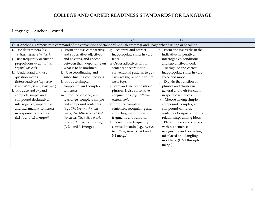Language – Anchor 1, cont'd

| A                                                                                                                   | <sub>B</sub>                    |                                 | D                             | ${\bf E}$ |
|---------------------------------------------------------------------------------------------------------------------|---------------------------------|---------------------------------|-------------------------------|-----------|
| CCR Anchor 1: Demonstrate command of the conventions of standard English grammar and usage when writing or speaking |                                 |                                 |                               |           |
| Use determiners $(e.g.,$                                                                                            | Form and use comparative        | g. Recognize and correct        | h. Form and use verbs in the  |           |
| articles, demonstratives).                                                                                          | and superlative adjectives      | inappropriate shifts in verb    | indicative, imperative,       |           |
| use frequently occurring                                                                                            | and adverbs, and choose         | tense.                          | interrogative, conditional,   |           |
| prepositions (e.g., during,                                                                                         | between them depending on       | h. Order adjectives within      | and subjunctive mood.         |           |
| beyond, toward).                                                                                                    | what is to be modified.         | sentences according to          | Recognize and correct         |           |
| k. Understand and use                                                                                               | k. Use coordinating and         | conventional patterns (e.g., a  | inappropriate shifts in verb  |           |
| question words                                                                                                      | subordinating conjunctions.     | small red bag rather than a red | voice and mood.               |           |
| (interrogatives) (e.g., who,                                                                                        | 1. Produce simple,              | small bag).                     | j. Explain the function of    |           |
| what, where, when, why, how).                                                                                       | compound, and complex           | i. Form and use prepositional   | phrases and clauses in        |           |
| 1. Produce and expand                                                                                               | sentences.                      | phrases. j. Use correlative     | general and their function    |           |
| complete simple and                                                                                                 | m. Produce, expand, and         | conjunctions (e.g., either/or,  | in specific sentences.        |           |
| compound declarative,                                                                                               | rearrange, complete simple      | neither/nor).                   | k. Choose among simple,       |           |
| interrogative, imperative,                                                                                          | and compound sentences          | k. Produce complete             | compound, complex, and        |           |
| and exclamatory sentences                                                                                           | (e.g., The boy watched the      | sentences, recognizing and      | compound-complex              |           |
| in response to prompts.                                                                                             | movie; The little boy watched   | correcting inappropriate        | sentences to signal differing |           |
| $(L.K.1$ and 1.1 merge) <sup>10</sup>                                                                               | the movie; The action movie     | fragments and run-ons.          | relationships among ideas.    |           |
|                                                                                                                     | was watched by the little boy). | l. Correctly use frequently     | Place phrases and clauses     |           |
|                                                                                                                     | $(L.2.1$ and $3.1$ merge)       | confused words (e.g., to, too,  | within a sentence,            |           |
|                                                                                                                     |                                 | two; there, their). (L.4.1 and  | recognizing and correcting    |           |
|                                                                                                                     |                                 | 5.1 merge)                      | misplaced and dangling        |           |
|                                                                                                                     |                                 |                                 | modifiers. (L.6.1 through 8.1 |           |
|                                                                                                                     |                                 |                                 | merge)                        |           |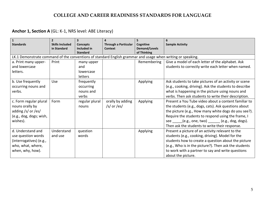## **Anchor 1, Section A** (GL: K-1, NRS level: ABE Literacy)

| $\mathbf{1}$<br><b>Standards</b>                                                                            | $\overline{2}$<br><b>Skills Included</b> | Concepts                       | <b>Through a Particular</b> | 5<br>Cognitive               | 6<br><b>Sample Activity</b>                            |
|-------------------------------------------------------------------------------------------------------------|------------------------------------------|--------------------------------|-----------------------------|------------------------------|--------------------------------------------------------|
|                                                                                                             | in Standard                              | Included in<br><b>Standard</b> | <b>Context</b>              | Demand/Levels<br>of Thinking |                                                        |
| LK.1 Demonstrate command of the conventions of standard English grammar and usage when writing or speaking. |                                          |                                |                             |                              |                                                        |
| a. Print many upper-                                                                                        | Print                                    | many upper                     |                             | Remembering                  | Give a model of each letter of the alphabet. Ask       |
| and lowercase                                                                                               |                                          | and                            |                             |                              | students to correctly write each letter when named.    |
| letters.                                                                                                    |                                          | lowercase                      |                             |                              |                                                        |
|                                                                                                             |                                          | letters                        |                             |                              |                                                        |
| b. Use frequently                                                                                           | Use                                      | frequently                     |                             | Applying                     | Ask students to take pictures of an activity or scene  |
| occurring nouns and                                                                                         |                                          | occurring                      |                             |                              | (e.g., cooking, driving). Ask the students to describe |
| verbs.                                                                                                      |                                          | nouns and                      |                             |                              | what is happening in the picture using nouns and       |
|                                                                                                             |                                          | verbs                          |                             |                              | verbs. Then ask students to write their description.   |
| c. Form regular plural                                                                                      | Form                                     | regular plural                 | orally by adding            | Applying                     | Present a You Tube video about a content familiar to   |
| nouns orally by                                                                                             |                                          | nouns                          | /s/ or /es/                 |                              | the students (e.g., dogs, cats). Ask questions about   |
| adding /s/ or /es/                                                                                          |                                          |                                |                             |                              | the picture (e.g., How many white dogs do you see?).   |
| (e.g., dog, dogs; wish,                                                                                     |                                          |                                |                             |                              | Require the students to respond using the frame, I     |
| wishes).                                                                                                    |                                          |                                |                             |                              | (e.g., one, two) (e.g., dog, dogs).<br>see             |
|                                                                                                             |                                          |                                |                             |                              | Then ask the students to write their response.         |
| d. Understand and                                                                                           | Understand                               | question                       |                             | Applying                     | Present a picture of an activity relevant to the       |
| use question words                                                                                          | and use                                  | words                          |                             |                              | students (e.g., cooking, driving). Model for the       |
| (interrogatives) (e.g.,                                                                                     |                                          |                                |                             |                              | students how to create a question about the picture    |
| who, what, where,                                                                                           |                                          |                                |                             |                              | (e.g., Who is in the picture?). Then ask the students  |
| when, why, how).                                                                                            |                                          |                                |                             |                              | to work with a partner to say and write questions      |
|                                                                                                             |                                          |                                |                             |                              | about the picture.                                     |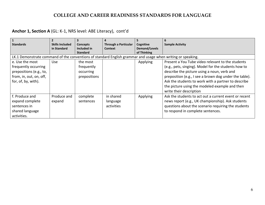## **Anchor 1, Section A** (GL: K-1, NRS level: ABE Literacy), cont'd

| $\mathbf{1}$                                                                                                |                        |                 |                             |               | 6                                                      |
|-------------------------------------------------------------------------------------------------------------|------------------------|-----------------|-----------------------------|---------------|--------------------------------------------------------|
| <b>Standards</b>                                                                                            | <b>Skills Included</b> | <b>Concepts</b> | <b>Through a Particular</b> | Cognitive     | <b>Sample Activity</b>                                 |
|                                                                                                             | in Standard            | Included in     | Context                     | Demand/Levels |                                                        |
|                                                                                                             |                        | <b>Standard</b> |                             | of Thinking   |                                                        |
| LK.1 Demonstrate command of the conventions of standard English grammar and usage when writing or speaking. |                        |                 |                             |               |                                                        |
| e. Use the most                                                                                             | <b>Use</b>             | the most        |                             | Applying      | Present a You Tube video relevant to the students      |
| frequently occurring                                                                                        |                        | frequently      |                             |               | (e.g., pets, singing). Model for the students how to   |
| prepositions (e.g., to,                                                                                     |                        | occurring       |                             |               | describe the picture using a noun, verb and            |
| from, in, out, on, off,                                                                                     |                        | prepositions    |                             |               | preposition (e.g., I see a brown dog under the table). |
| for, of, by, with).                                                                                         |                        |                 |                             |               | Ask the students to work with a partner to describe    |
|                                                                                                             |                        |                 |                             |               | the picture using the modeled example and then         |
|                                                                                                             |                        |                 |                             |               | write their description                                |
| f. Produce and                                                                                              | Produce and            | complete        | in shared                   | Applying      | Ask the students to act out a current event or recent  |
| expand complete                                                                                             | expand                 | sentences       | language                    |               | news report (e.g., UK championship). Ask students      |
| sentences in                                                                                                |                        |                 | activities                  |               | questions about the scenario requiring the students    |
| shared language                                                                                             |                        |                 |                             |               | to respond in complete sentences.                      |
| activities.                                                                                                 |                        |                 |                             |               |                                                        |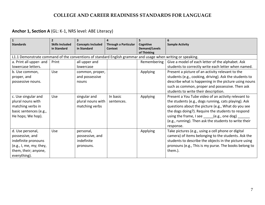## **Anchor 1, Section A** (GL: K-1, NRS level: ABE Literacy)

| <b>Standards</b>                                                                                                              | <b>Skills Included</b><br>in Standard | <b>Concepts Included</b><br>in Standard                 | <b>Through a Particular</b><br><b>Context</b> | Cognitive<br><b>Demand/Levels</b><br>of Thinking | 6<br><b>Sample Activity</b>                                                                                                                                                                                                                                                                                                                                                    |
|-------------------------------------------------------------------------------------------------------------------------------|---------------------------------------|---------------------------------------------------------|-----------------------------------------------|--------------------------------------------------|--------------------------------------------------------------------------------------------------------------------------------------------------------------------------------------------------------------------------------------------------------------------------------------------------------------------------------------------------------------------------------|
| L1.1 Demonstrate command of the conventions of standard English grammar and usage when writing or speaking.                   |                                       |                                                         |                                               |                                                  |                                                                                                                                                                                                                                                                                                                                                                                |
| a. Print all upper- and                                                                                                       | Print                                 | all upper and                                           |                                               | Remembering                                      | Give a model of each letter of the alphabet. Ask                                                                                                                                                                                                                                                                                                                               |
| lowercase letters.                                                                                                            |                                       | lowercase                                               |                                               |                                                  | students to correctly write each letter when named.                                                                                                                                                                                                                                                                                                                            |
| b. Use common,<br>proper, and<br>possessive nouns.                                                                            | Use                                   | common, proper,<br>and possessive<br>nouns              |                                               | Applying                                         | Present a picture of an activity relevant to the<br>students (e.g., cooking, driving). Ask the students to<br>describe what is happening in the picture using nouns<br>such as common, proper and possessive. Then ask<br>students to write their description.                                                                                                                 |
| c. Use singular and<br>plural nouns with<br>matching verbs in<br>basic sentences (e.g.,<br>He hops; We hop).                  | Use                                   | singular and<br>plural nouns with<br>matching verbs     | In basic<br>sentences.                        | Applying                                         | Present a You Tube video of an activity relevant to<br>the students (e.g., dogs running, cats playing). Ask<br>questions about the picture (e.g., What do you see<br>the dogs doing?). Require the students to respond<br>using the frame, I see $\rule{1em}{0.5mm}$ (e.g., one dog) $\rule{1em}{0.5mm}$<br>(e.g., running). Then ask the students to write their<br>response. |
| d. Use personal,<br>possessive, and<br>indefinite pronouns<br>(e.g., I, me, my; they,<br>them, their; anyone,<br>everything). | Use                                   | personal,<br>possessive, and<br>indefinite<br>pronouns. |                                               | Applying                                         | Take pictures (e.g., using a cell phone or digital<br>camera) of items belonging to the students. Ask the<br>students to describe the objects in the picture using<br>pronouns (e.g., This is my purse. The books belong to<br>them.).                                                                                                                                         |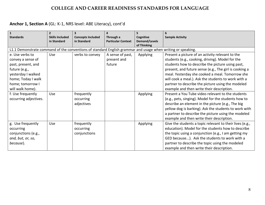# **Anchor 1, Section A** (GL: K-1, NRS level: ABE Literacy), cont'd

| $\mathbf{1}$<br><b>Standards</b>                                                                            | $\overline{2}$<br><b>Skills Included</b> | <b>Concepts Included</b> | 4<br>Through a            | Cognitive                           | <b>Sample Activity</b>                                   |
|-------------------------------------------------------------------------------------------------------------|------------------------------------------|--------------------------|---------------------------|-------------------------------------|----------------------------------------------------------|
|                                                                                                             | in Standard                              | in Standard              | <b>Particular Context</b> | <b>Demand/Levels</b><br>of Thinking |                                                          |
| L1.1 Demonstrate command of the conventions of standard English grammar and usage when writing or speaking. |                                          |                          |                           |                                     |                                                          |
| e. Use verbs to                                                                                             | Use                                      | verbs to convey          | A sense of past,          | Applying                            | Present a picture of an activity relevant to the         |
| convey a sense of                                                                                           |                                          |                          | present and               |                                     | students (e.g., cooking, driving). Model for the         |
| past, present, and                                                                                          |                                          |                          | future                    |                                     | students how to describe the picture using past,         |
| future (e.g.,                                                                                               |                                          |                          |                           |                                     | present, and future sense (e.g., The girl is cooking a   |
| yesterday I walked                                                                                          |                                          |                          |                           |                                     | meal. Yesterday she cooked a meal. Tomorrow she          |
| home; Today I walk                                                                                          |                                          |                          |                           |                                     | will cook a meal.). Ask the students to work with a      |
| home; tomorrow I                                                                                            |                                          |                          |                           |                                     | partner to describe the picture using the modeled        |
| will walk home).                                                                                            |                                          |                          |                           |                                     | example and then write their description.                |
| f. Use frequently                                                                                           | Use                                      | frequently               |                           | Applying                            | Present a You Tube video relevant to the students        |
| occurring adjectives.                                                                                       |                                          | occurring                |                           |                                     | (e.g., pets, singing). Model for the students how to     |
|                                                                                                             |                                          | adjectives               |                           |                                     | describe an element in the picture (e.g., The big        |
|                                                                                                             |                                          |                          |                           |                                     | yellow dog is barking). Ask the students to work with    |
|                                                                                                             |                                          |                          |                           |                                     | a partner to describe the picture using the modeled      |
|                                                                                                             |                                          |                          |                           |                                     | example and then write their description.                |
| g. Use frequently                                                                                           | Use                                      | frequently               |                           | Applying                            | Give the students a topic relevant to their lives (e.g., |
| occurring                                                                                                   |                                          | occurring                |                           |                                     | education). Model for the students how to describe       |
| conjunctions (e.g.,                                                                                         |                                          | conjunctions             |                           |                                     | the topic using a conjunction (e.g., I am getting my     |
| and, but, or, so,                                                                                           |                                          |                          |                           |                                     | GED because). Ask the students to work with a            |
| because).                                                                                                   |                                          |                          |                           |                                     | partner to describe the topic using the modeled          |
|                                                                                                             |                                          |                          |                           |                                     | example and then write their description.                |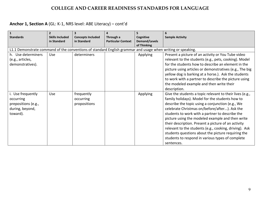# **Anchor 1, Section A** (GL: K-1, NRS level: ABE Literacy) – cont'd

| $\vert$ 1<br><b>Standards</b>                                                                               | $\overline{\mathbf{z}}$<br><b>Skills Included</b><br>in Standard | <b>Concepts Included</b><br>in Standard | 4<br>Through a<br><b>Particular Context</b> | 5<br>Cognitive<br>Demand/Levels<br>of Thinking | <b>Sample Activity</b>                                                                                                                                                                                                                                                                                                                                                                                                                                                                                                                                           |
|-------------------------------------------------------------------------------------------------------------|------------------------------------------------------------------|-----------------------------------------|---------------------------------------------|------------------------------------------------|------------------------------------------------------------------------------------------------------------------------------------------------------------------------------------------------------------------------------------------------------------------------------------------------------------------------------------------------------------------------------------------------------------------------------------------------------------------------------------------------------------------------------------------------------------------|
| L1.1 Demonstrate command of the conventions of standard English grammar and usage when writing or speaking. |                                                                  |                                         |                                             |                                                |                                                                                                                                                                                                                                                                                                                                                                                                                                                                                                                                                                  |
| h. Use determiners<br>(e.g., articles,<br>demonstratives).                                                  | Use                                                              | determiners                             |                                             | Applying                                       | Present a picture of an activity or You Tube video<br>relevant to the students (e.g., pets, cooking). Model<br>for the students how to describe an element in the<br>picture using articles or demonstratives (e.g., The big<br>yellow dog is barking at a horse.). Ask the students<br>to work with a partner to describe the picture using<br>the modeled example and then write their<br>description.                                                                                                                                                         |
| i. Use frequently<br>occurring<br>prepositions (e.g.,<br>during, beyond,<br>toward).                        | Use                                                              | frequently<br>occurring<br>propositions |                                             | Applying                                       | Give the students a topic relevant to their lives (e.g.,<br>family holidays). Model for the students how to<br>describe the topic using a conjunction (e.g., We<br>celebrate Christmas on/before/after). Ask the<br>students to work with a partner to describe the<br>picture using the modeled example and then write<br>their description. Present a picture of an activity<br>relevant to the students (e.g., cooking, driving). Ask<br>students questions about the picture requiring the<br>students to respond in various types of complete<br>sentences. |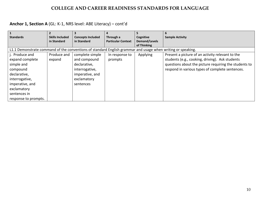# **Anchor 1, Section A** (GL: K-1, NRS level: ABE Literacy) – cont'd

| $\mathbf{1}$                                                                                                |                        |                          |                           |               |                                                       |
|-------------------------------------------------------------------------------------------------------------|------------------------|--------------------------|---------------------------|---------------|-------------------------------------------------------|
| <b>Standards</b>                                                                                            | <b>Skills Included</b> | <b>Concepts Included</b> | Through a                 | Cognitive     | <b>Sample Activity</b>                                |
|                                                                                                             | in Standard            | in Standard              | <b>Particular Context</b> | Demand/Levels |                                                       |
|                                                                                                             |                        |                          |                           | of Thinking   |                                                       |
| L1.1 Demonstrate command of the conventions of standard English grammar and usage when writing or speaking. |                        |                          |                           |               |                                                       |
| j. Produce and                                                                                              | Produce and            | complete simple          | In response to            | Applying      | Present a picture of an activity relevant to the      |
| expand complete                                                                                             | expand                 | and compound             | prompts                   |               | students (e.g., cooking, driving). Ask students       |
| simple and                                                                                                  |                        | declarative,             |                           |               | questions about the picture requiring the students to |
| compound                                                                                                    |                        | interrogative,           |                           |               | respond in various types of complete sentences.       |
| declarative,                                                                                                |                        | imperative, and          |                           |               |                                                       |
| interrogative,                                                                                              |                        | exclamatory              |                           |               |                                                       |
| imperative, and                                                                                             |                        | sentences                |                           |               |                                                       |
| exclamatory                                                                                                 |                        |                          |                           |               |                                                       |
| sentences in                                                                                                |                        |                          |                           |               |                                                       |
| response to prompts.                                                                                        |                        |                          |                           |               |                                                       |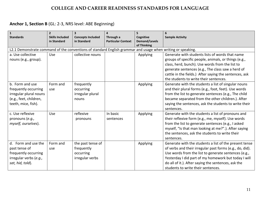| $\mathbf{1}$<br><b>Standards</b>                                                                                   | $\overline{2}$<br><b>Skills Included</b> | <b>Concepts Included</b>                                        | $\overline{\mathbf{4}}$<br>Through a | 5<br>Cognitive                      | <b>Sample Activity</b>                                                                                                                                                                                                                                                                                                          |
|--------------------------------------------------------------------------------------------------------------------|------------------------------------------|-----------------------------------------------------------------|--------------------------------------|-------------------------------------|---------------------------------------------------------------------------------------------------------------------------------------------------------------------------------------------------------------------------------------------------------------------------------------------------------------------------------|
|                                                                                                                    | in Standard                              | in Standard                                                     | <b>Particular Context</b>            | <b>Demand/Levels</b><br>of Thinking |                                                                                                                                                                                                                                                                                                                                 |
| L2.1 Demonstrate command of the conventions of standard English grammar and usage when writing or speaking.        |                                          |                                                                 |                                      |                                     |                                                                                                                                                                                                                                                                                                                                 |
| a. Use collective<br>nouns (e.g., group).                                                                          | Use                                      | collective nouns                                                |                                      | Applying                            | Generate with students lists of words that name<br>groups of specific people, animals, or things (e.g.,<br>class, herd, bunch). Use words from the list to<br>generate sentences (e.g., The class saw a herd of                                                                                                                 |
|                                                                                                                    |                                          |                                                                 |                                      |                                     | cattle in the fields.) After saying the sentences, ask<br>the students to write their sentences.                                                                                                                                                                                                                                |
| b. Form and use<br>frequently occurring<br>irregular plural nouns<br>(e.g., feet, children,<br>teeth, mice, fish). | Form and<br>use                          | frequently<br>occurring<br>irregular plural<br>nouns            |                                      | Applying                            | Generate with the students a list of singular nouns<br>and their plural forms (e.g., foot, feet). Use words<br>from the list to generate sentences (e.g., The child<br>became separated from the other children.). After<br>saying the sentences, ask the students to write their<br>sentences.                                 |
| c. Use reflexive<br>pronouns (e.g.,<br>myself, ourselves).                                                         | Use                                      | reflexive<br>pronouns                                           | In basic<br>sentences                | Applying                            | Generate with the students a list of pronouns and<br>their reflexive form (e.g., me, myself). Use words<br>from the list to generate sentences (e.g., I asked<br>myself, "Is that man looking at me?".). After saying<br>the sentences, ask the students to write their<br>sentences.                                           |
| d. Form and use the<br>past tense of<br>frequently occurring<br>irregular verbs (e.g.,<br>sat, hid, told).         | Form and<br>use                          | the past tense of<br>frequently<br>occurring<br>irregular verbs |                                      | Applying                            | Generate with the students a list of the present tense<br>of verbs and their irregular past forms (e.g., do, did).<br>Use words from the list to generate sentences (e.g.,<br>Yesterday I did part of my homework but today I will<br>do all of it.). After saying the sentences, ask the<br>students to write their sentences. |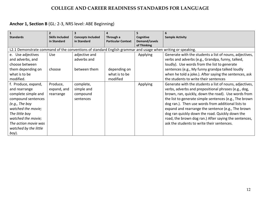| $\mathbf{1}$<br><b>Standards</b>                                                                            | <b>Skills Included</b> | <b>Concepts Included</b> |                                        | Cognitive                           |                                                         |
|-------------------------------------------------------------------------------------------------------------|------------------------|--------------------------|----------------------------------------|-------------------------------------|---------------------------------------------------------|
|                                                                                                             | in Standard            | in Standard              | Through a<br><b>Particular Context</b> | <b>Demand/Levels</b><br>of Thinking | <b>Sample Activity</b>                                  |
| L2.1 Demonstrate command of the conventions of standard English grammar and usage when writing or speaking. |                        |                          |                                        |                                     |                                                         |
| e. Use adjectives                                                                                           | Use                    | adjective and            |                                        | <b>Applying</b>                     | Generate with the students a list of nouns, adjectives, |
| and adverbs, and                                                                                            |                        | adverbs and              |                                        |                                     | verbs and adverbs (e.g., Grandpa, funny, talked,        |
| choose between                                                                                              |                        |                          |                                        |                                     | loudly). Use words from the list to generate            |
| them depending on                                                                                           | choose                 | between them             | depending on                           |                                     | sentences (e.g., My funny grandpa talked loudly         |
| what is to be                                                                                               |                        |                          | what is to be                          |                                     | when he told a joke.). After saying the sentences, ask  |
| modified.                                                                                                   |                        |                          | modified                               |                                     | the students to write their sentences                   |
| f. Produce, expand,                                                                                         | Produce,               | complete,                |                                        | Applying                            | Generate with the students a list of nouns, adjectives, |
| and rearrange                                                                                               | expand, and            | simple and               |                                        |                                     | verbs, adverbs and prepositional phrases (e.g., dog,    |
| complete simple and                                                                                         | rearrange              | compound                 |                                        |                                     | brown, ran, quickly, down the road). Use words from     |
| compound sentences                                                                                          |                        | sentences                |                                        |                                     | the list to generate simple sentences (e.g., The brown  |
| (e.g., The boy                                                                                              |                        |                          |                                        |                                     | dog ran.). Then use words from additional lists to      |
| watched the movie;                                                                                          |                        |                          |                                        |                                     | expand and rearrange the sentence (e.g., The brown      |
| The little boy                                                                                              |                        |                          |                                        |                                     | dog ran quickly down the road. Quickly down the         |
| watched the movie;                                                                                          |                        |                          |                                        |                                     | road, the brown dog ran.) After saying the sentences,   |
| The action movie was                                                                                        |                        |                          |                                        |                                     | ask the students to write their sentences.              |
| watched by the little                                                                                       |                        |                          |                                        |                                     |                                                         |
| boy).                                                                                                       |                        |                          |                                        |                                     |                                                         |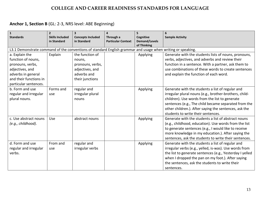| $\mathbf{1}$<br><b>Standards</b>                                                                                                                     | $\overline{2}$<br><b>Skills Included</b><br>in Standard | 3<br><b>Concepts Included</b><br>in Standard                                                       | 4<br>Through a<br><b>Particular Context</b> | 5<br>Cognitive<br><b>Demand/Levels</b><br>of Thinking | <b>Sample Activity</b>                                                                                                                                                                                                                                                                                              |
|------------------------------------------------------------------------------------------------------------------------------------------------------|---------------------------------------------------------|----------------------------------------------------------------------------------------------------|---------------------------------------------|-------------------------------------------------------|---------------------------------------------------------------------------------------------------------------------------------------------------------------------------------------------------------------------------------------------------------------------------------------------------------------------|
| L3.1 Demonstrate command of the conventions of standard English grammar and usage when writing or speaking.                                          |                                                         |                                                                                                    |                                             |                                                       |                                                                                                                                                                                                                                                                                                                     |
| a. Explain the<br>function of nouns,<br>pronouns, verbs,<br>adjectives, and<br>adverbs in general<br>and their functions in<br>particular sentences. | Explain                                                 | the function of<br>nouns,<br>pronouns, verbs,<br>adjectives, and<br>adverbs and<br>their junctions |                                             | Applying                                              | Generate with the students lists of nouns, pronouns,<br>verbs, adjectives, and adverbs and review their<br>function in a sentence. With a partner, ask them to<br>use combinations of these words to create sentences<br>and explain the function of each word.                                                     |
| b. Form and use<br>regular and irregular<br>plural nouns.                                                                                            | Forms and<br>use                                        | regular and<br>irregular plural<br>nouns                                                           |                                             | Applying                                              | Generate with the students a list of regular and<br>irregular plural nouns (e.g., brother-brothers, child-<br>children). Use words from the list to generate<br>sentences (e.g., The child became separated from the<br>other children.). After saying the sentences, ask the<br>students to write their sentences. |
| c. Use abstract nouns<br>(e.g., childhood).                                                                                                          | Use                                                     | abstract nouns                                                                                     |                                             | Applying                                              | Generate with the students a list of abstract nouns<br>(e.g., childhood, education). Use words from the list<br>to generate sentences (e.g., I would like to receive<br>more knowledge in my education.). After saying the<br>sentences, ask the students to write their sentences.                                 |
| d. Form and use<br>regular and irregular<br>verbs.                                                                                                   | From and<br>use                                         | regular and<br>irregular verbs                                                                     |                                             | Applying                                              | Generate with the students a list of regular and<br>irregular verbs (e.g., yelled, is-was). Use words from<br>the list to generate sentences (e.g., Yesterday I yelled<br>when I dropped the pan on my foot.). After saying<br>the sentences, ask the students to write their<br>sentences.                         |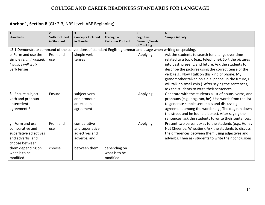| $\vert$ 1                                                                                                   | $\overline{2}$                        |                                         |                                        | 5                                 | 6                                                       |
|-------------------------------------------------------------------------------------------------------------|---------------------------------------|-----------------------------------------|----------------------------------------|-----------------------------------|---------------------------------------------------------|
| <b>Standards</b>                                                                                            | <b>Skills Included</b><br>in Standard | <b>Concepts Included</b><br>in Standard | Through a<br><b>Particular Context</b> | Cognitive<br><b>Demand/Levels</b> | <b>Sample Activity</b>                                  |
|                                                                                                             |                                       |                                         |                                        | of Thinking                       |                                                         |
| L3.1 Demonstrate command of the conventions of standard English grammar and usage when writing or speaking. |                                       |                                         |                                        |                                   |                                                         |
| e. Form and use the                                                                                         | From and                              | simple verb                             |                                        | Applying                          | Ask the students to search for change over time         |
| simple (e.g., I walked;                                                                                     | use                                   | tenses                                  |                                        |                                   | related to a topic (e.g., telephone). Sort the pictures |
| I walk; I will walk)                                                                                        |                                       |                                         |                                        |                                   | into past, present, and future. Ask the students to     |
| verb tenses.                                                                                                |                                       |                                         |                                        |                                   | describe the pictures using the correct tense of the    |
|                                                                                                             |                                       |                                         |                                        |                                   | verb (e.g., Now I talk on this kind of phone. My        |
|                                                                                                             |                                       |                                         |                                        |                                   | grandmother talked on a dial phone. In the future, I    |
|                                                                                                             |                                       |                                         |                                        |                                   | will talk on small chip.). After saying the sentences,  |
|                                                                                                             |                                       |                                         |                                        |                                   | ask the students to write their sentences.              |
| f. Ensure subject-                                                                                          | Ensure                                | subject-verb                            |                                        | Applying                          | Generate with the students a list of nouns, verbs, and  |
| verb and pronoun-                                                                                           |                                       | and pronoun-                            |                                        |                                   | pronouns (e.g., dog, ran, he). Use words from the list  |
| antecedent                                                                                                  |                                       | antecedent                              |                                        |                                   | to generate simple sentences and discussing             |
| agreement.*                                                                                                 |                                       | agreement                               |                                        |                                   | agreement among the words (e.g., The dog ran down       |
|                                                                                                             |                                       |                                         |                                        |                                   | the street and he found a bone.). After saying the      |
|                                                                                                             |                                       |                                         |                                        |                                   | sentences, ask the students to write their sentences.   |
| g. Form and use                                                                                             | From and                              | comparative                             |                                        | Applying                          | Present two cereal boxes to the students (e.g., Honey   |
| comparative and                                                                                             | use                                   | and superlative                         |                                        |                                   | Nut Cheerios, Wheaties). Ask the students to discuss    |
| superlative adjectives                                                                                      |                                       | adjectives and                          |                                        |                                   | the differences between them using adjectives and       |
| and adverbs, and                                                                                            |                                       | adverbs, and                            |                                        |                                   | adverbs. Then ask students to write their conclusions.  |
| choose between                                                                                              |                                       |                                         |                                        |                                   |                                                         |
| them depending on                                                                                           | choose                                | between them                            | depending on                           |                                   |                                                         |
| what is to be                                                                                               |                                       |                                         | what is to be                          |                                   |                                                         |
| modified.                                                                                                   |                                       |                                         | modified                               |                                   |                                                         |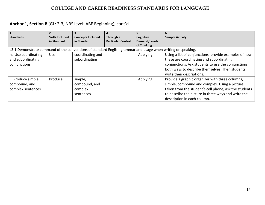|                                                                                                             |                        |                          |                           |                      | 6                                                     |
|-------------------------------------------------------------------------------------------------------------|------------------------|--------------------------|---------------------------|----------------------|-------------------------------------------------------|
| <b>Standards</b>                                                                                            | <b>Skills Included</b> | <b>Concepts Included</b> | Through a                 | Cognitive            | <b>Sample Activity</b>                                |
|                                                                                                             | in Standard            | in Standard              | <b>Particular Context</b> | <b>Demand/Levels</b> |                                                       |
|                                                                                                             |                        |                          |                           | of Thinking          |                                                       |
| L3.1 Demonstrate command of the conventions of standard English grammar and usage when writing or speaking. |                        |                          |                           |                      |                                                       |
| h. Use coordinating                                                                                         | <b>Use</b>             | coordinating and         |                           | Applying             | Using a list of conjunctions, provide examples of how |
| and subordinating                                                                                           |                        | subordinating            |                           |                      | these are coordinating and subordinating              |
| conjunctions.                                                                                               |                        |                          |                           |                      | conjunctions. Ask students to use the conjunctions in |
|                                                                                                             |                        |                          |                           |                      | both ways to describe themselves. Then students       |
|                                                                                                             |                        |                          |                           |                      | write their descriptions.                             |
| i. Produce simple,                                                                                          | Produce                | simple,                  |                           | Applying             | Provide a graphic organizer with three columns,       |
| compound, and                                                                                               |                        | compound, and            |                           |                      | simple, compound and complex. Using a picture         |
| complex sentences.                                                                                          |                        | complex                  |                           |                      | taken from the student's cell phone, ask the students |
|                                                                                                             |                        | sentences                |                           |                      | to describe the picture in three ways and write the   |
|                                                                                                             |                        |                          |                           |                      | description in each column.                           |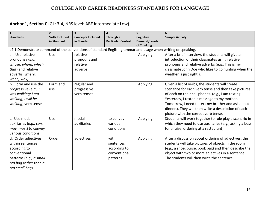## **Anchor 1, Section C** (GL: 3-4, NRS level: ABE Intermediate Low)

| $\vert$ 1                                                                                                   | $\overline{2}$         | $\overline{\mathbf{3}}$  | 4                         | 5                                   |                                                         |
|-------------------------------------------------------------------------------------------------------------|------------------------|--------------------------|---------------------------|-------------------------------------|---------------------------------------------------------|
| <b>Standards</b>                                                                                            | <b>Skills Included</b> | <b>Concepts Included</b> | Through a                 | Cognitive                           | <b>Sample Activity</b>                                  |
|                                                                                                             | in Standard            | in Standard              | <b>Particular Context</b> | <b>Demand/Levels</b><br>of Thinking |                                                         |
| L4.1 Demonstrate command of the conventions of standard English grammar and usage when writing or speaking. |                        |                          |                           |                                     |                                                         |
| a. Use relative                                                                                             | Use                    | relative                 |                           | Applying                            | After a brief interview, the students will give an      |
| pronouns (who,                                                                                              |                        | pronouns and             |                           |                                     | introduction of their classmates using relative         |
| whose, whom, which,                                                                                         |                        | relative                 |                           |                                     | pronouns and relative adverbs (e.g., This is my         |
| that) and relative                                                                                          |                        | adverbs                  |                           |                                     | classmate John Doe who likes to go hunting when the     |
| adverbs (where,                                                                                             |                        |                          |                           |                                     | weather is just right.).                                |
| when, why).                                                                                                 |                        |                          |                           |                                     |                                                         |
| b. Form and use the                                                                                         | Form and               | regular and              |                           | Applying                            | Given a list of verbs, the students will create         |
| progressive (e.g., I                                                                                        | use                    | progressive              |                           |                                     | scenarios for each verb tense and then take pictures    |
| was walking; I am                                                                                           |                        | verb tenses              |                           |                                     | of each on their cell phones. (e.g., I am texting.      |
| walking; I will be                                                                                          |                        |                          |                           |                                     | Yesterday, I texted a message to my mother.             |
| walking) verb tenses.                                                                                       |                        |                          |                           |                                     | Tomorrow, I need to text my brother and ask about       |
|                                                                                                             |                        |                          |                           |                                     | dinner.). They will then write a description of each    |
|                                                                                                             |                        |                          |                           |                                     | picture with the correct verb tense.                    |
| c. Use modal                                                                                                | Use                    | modal                    | to convey                 | Applying                            | Students will work together to role play a scenario in  |
| auxiliaries (e.g., can,                                                                                     |                        | auxiliaries              | various                   |                                     | which they need to use auxiliaries (e.g., asking a boss |
| may, must) to convey                                                                                        |                        |                          | conditions                |                                     | for a raise, ordering at a restaurant).                 |
| various conditions.                                                                                         |                        |                          |                           |                                     |                                                         |
| d. Order adjectives                                                                                         | Order                  | adjectives               | within                    | Applying                            | After a discussion about ordering of adjectives, the    |
| within sentences                                                                                            |                        |                          | sentences                 |                                     | students will take pictures of objects in the room      |
| according to                                                                                                |                        |                          | according to              |                                     | (e.g., a shoe, purse, book bag) and then describe the   |
| conventional                                                                                                |                        |                          | conventional              |                                     | object with two or more adjectives in a sentence.       |
| patterns (e.g., a small                                                                                     |                        |                          | patterns                  |                                     | The students will then write the sentence.              |
| red bag rather than a                                                                                       |                        |                          |                           |                                     |                                                         |
| red small bag).                                                                                             |                        |                          |                           |                                     |                                                         |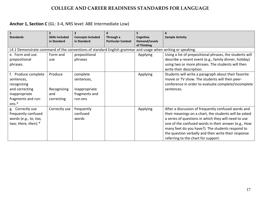## **Anchor 1, Section C** (GL: 3-4, NRS level: ABE Intermediate Low)

| $\mathbf{1}$<br><b>Standards</b>                                                                                     | <b>Skills Included</b><br>in Standard       | <b>Concepts Included</b><br>in Standard                             | 4<br>Through a<br><b>Particular Context</b> | Cognitive<br><b>Demand/Levels</b><br>of Thinking | <b>Sample Activity</b>                                                                                                                                                                                                                                                                                                                                                         |
|----------------------------------------------------------------------------------------------------------------------|---------------------------------------------|---------------------------------------------------------------------|---------------------------------------------|--------------------------------------------------|--------------------------------------------------------------------------------------------------------------------------------------------------------------------------------------------------------------------------------------------------------------------------------------------------------------------------------------------------------------------------------|
| L4.1 Demonstrate command of the conventions of standard English grammar and usage when writing or speaking.          |                                             |                                                                     |                                             |                                                  |                                                                                                                                                                                                                                                                                                                                                                                |
| e. Form and use<br>prepositional<br>phrases.                                                                         | Form and<br>use                             | prepositional<br>phrases                                            |                                             | Applying                                         | Using a list of prepositional phrases, the students will<br>describe a recent event (e.g., family dinner, holiday)<br>using two or more phrases. The students will then<br>write their description.                                                                                                                                                                            |
| f. Produce complete<br>sentences,<br>recognizing<br>and correcting<br>inappropriate<br>fragments and run-<br>$ons.*$ | Produce<br>Recognizing<br>and<br>correcting | complete<br>sentences,<br>inappropriate<br>fragments and<br>run-ons |                                             | Applying                                         | Students will write a paragraph about their favorite<br>movie or TV show. The students will then peer-<br>conference in order to evaluate complete/incomplete<br>sentences.                                                                                                                                                                                                    |
| g. Correctly use<br>frequently confused<br>words (e.g., to, too,<br>two; there, their).*                             | Correctly use                               | frequently<br>confused<br>words                                     |                                             | Applying                                         | After a discussion of frequently confused words and<br>their meanings on a chart, the students will be asked<br>a series of questions in which they will need to use<br>one of the confused words in their answer (e.g., How<br>many feet do you have?). The students respond to<br>the question verbally and then write their response<br>referring to the chart for support. |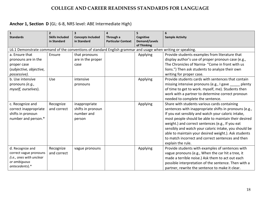## **Anchor 1, Section D** (GL: 6-8, NRS level: ABE Intermediate High)

| $\mathbf{1}$<br><b>Standards</b>                                                                            | $\overline{2}$<br><b>Skills Included</b><br>in Standard | $\overline{\mathbf{3}}$<br><b>Concepts Included</b><br>in Standard | 4<br>Through a<br><b>Particular Context</b> | 5.<br>Cognitive<br><b>Demand/Levels</b><br>of Thinking | 6<br><b>Sample Activity</b>                                                                                                                                                                                                                                                                                                                                                                                                                                         |
|-------------------------------------------------------------------------------------------------------------|---------------------------------------------------------|--------------------------------------------------------------------|---------------------------------------------|--------------------------------------------------------|---------------------------------------------------------------------------------------------------------------------------------------------------------------------------------------------------------------------------------------------------------------------------------------------------------------------------------------------------------------------------------------------------------------------------------------------------------------------|
| L6.1 Demonstrate command of the conventions of standard English grammar and usage when writing or speaking. |                                                         |                                                                    |                                             |                                                        |                                                                                                                                                                                                                                                                                                                                                                                                                                                                     |
| a. Ensure that<br>pronouns are in the<br>proper case<br>(subjective, objective,<br>possessive).             | Ensure                                                  | that pronouns<br>are in the proper<br>case                         |                                             | Applying                                               | Provide students examples from literature that<br>display author's use of proper pronoun case (e.g.,<br>The Chronicles of Narnia- "Come in front with us<br>lions.") Then ask students to analyze their own<br>writing for proper case.                                                                                                                                                                                                                             |
| b. Use intensive<br>pronouns (e.g.,<br>myself, ourselves).                                                  | Use                                                     | intensive<br>pronouns                                              |                                             | Applying                                               | Provide students cards with sentences that contain<br>missing intensive pronouns (e.g., I gave _____ plenty<br>of time to get to work. myself, me). Students then<br>work with a partner to determine correct pronoun<br>needed to complete the sentence.                                                                                                                                                                                                           |
| c. Recognize and<br>correct inappropriate<br>shifts in pronoun<br>number and person.*                       | Recognize<br>and correct                                | inappropriate<br>shifts in pronoun<br>number and<br>person         |                                             | Applying                                               | Share with students various cards containing<br>sentences with inappropriate shifts in pronouns (e.g.,<br>If you eat sensibly and watch your caloric intake,<br>most people should be able to maintain their desired<br>weight.) and correct sentences (e.g., If you eat<br>sensibly and watch your caloric intake, you should be<br>able to maintain your desired weight.). Ask students<br>to match incorrect and correct sentences and then<br>explain the rule. |
| d. Recognize and<br>correct vague pronouns<br>(i.e., ones with unclear<br>or ambiguous<br>antecedents).*    | Recognize<br>and correct                                | vague pronouns                                                     |                                             | Applying                                               | Provide students with examples of sentences with<br>vague pronouns (e.g., When the car hit a tree, it<br>made a terrible noise.) Ask them to act out each<br>possible interpretation of the sentence. Then with a<br>partner, rewrite the sentence to make it clear.                                                                                                                                                                                                |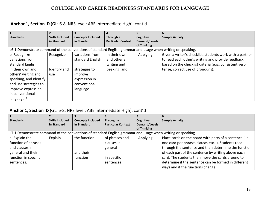## **Anchor 1, Section D** (GL: 6-8, NRS level: ABE Intermediate High), cont'd

|                                                                                                             | 2                      |                          |                           |               | 6                                                        |
|-------------------------------------------------------------------------------------------------------------|------------------------|--------------------------|---------------------------|---------------|----------------------------------------------------------|
| <b>Standards</b>                                                                                            | <b>Skills Included</b> | <b>Concepts Included</b> | Through a                 | Cognitive     | <b>Sample Activity</b>                                   |
|                                                                                                             | in Standard            | in Standard              | <b>Particular Context</b> | Demand/Levels |                                                          |
|                                                                                                             |                        |                          |                           | of Thinking   |                                                          |
| L6.1 Demonstrate command of the conventions of standard English grammar and usage when writing or speaking. |                        |                          |                           |               |                                                          |
| e. Recognize                                                                                                | Recognize              | variations from          | In their own              | Applying      | Given a writer's checklist, students work with a partner |
| variations from                                                                                             |                        | standard English         | and other's               |               | to read each other's writing and provide feedback        |
| standard English                                                                                            |                        |                          | writing and               |               | based on the checklist criteria (e.g., consistent verb   |
| in their own and                                                                                            | Identify and           | strategies to            | peaking, and              |               | tense, correct use of pronouns).                         |
| others' writing and                                                                                         | use                    | improve                  |                           |               |                                                          |
| speaking, and identify                                                                                      |                        | expression in            |                           |               |                                                          |
| and use strategies to                                                                                       |                        | conventional             |                           |               |                                                          |
| improve expression                                                                                          |                        | language                 |                           |               |                                                          |
| in conventional                                                                                             |                        |                          |                           |               |                                                          |
| language.*                                                                                                  |                        |                          |                           |               |                                                          |

#### **Anchor 1, Section D** (GL: 6-8, NRS level: ABE Intermediate High), cont'd

| <b>Standards</b>                                                                                            | <b>Skills Included</b> | <b>Concepts Included</b> | Through a                 | Cognitive     | <b>Sample Activity</b>                                   |
|-------------------------------------------------------------------------------------------------------------|------------------------|--------------------------|---------------------------|---------------|----------------------------------------------------------|
|                                                                                                             | in Standard            | in Standard              | <b>Particular Context</b> | Demand/Levels |                                                          |
|                                                                                                             |                        |                          |                           | of Thinking   |                                                          |
| L7.1 Demonstrate command of the conventions of standard English grammar and usage when writing or speaking. |                        |                          |                           |               |                                                          |
| a. Explain the                                                                                              | Explain                | the function             | of phrases and            | Applying      | Place cards on the board with parts of a sentence (i.e., |
| function of phrases                                                                                         |                        |                          | clauses in                |               | one card per phrase, clause, etc). Students read         |
| and clauses in                                                                                              |                        |                          | general                   |               | through the sentence and then determine the function     |
| general and their                                                                                           |                        | and their                |                           |               | of each part of the sentence by writing above each       |
| function in specific                                                                                        |                        | function                 | in specific               |               | card. The students then move the cards around to         |
| sentences.                                                                                                  |                        |                          | sentences                 |               | determine if the sentence can be formed in different     |
|                                                                                                             |                        |                          |                           |               | ways and if the functions change.                        |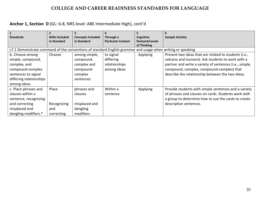## **Anchor 1, Section D** (GL: 6-8, NRS level: ABE Intermediate High), cont'd

|                                                                                                             |                        |                          | 4                         |                      |                                                         |
|-------------------------------------------------------------------------------------------------------------|------------------------|--------------------------|---------------------------|----------------------|---------------------------------------------------------|
| <b>Standards</b>                                                                                            | <b>Skills Included</b> | <b>Concepts Included</b> | Through a                 | Cognitive            | <b>Sample Activity</b>                                  |
|                                                                                                             | in Standard            | in Standard              | <b>Particular Context</b> | <b>Demand/Levels</b> |                                                         |
|                                                                                                             |                        |                          |                           | of Thinking          |                                                         |
| L7.1 Demonstrate command of the conventions of standard English grammar and usage when writing or speaking. |                        |                          |                           |                      |                                                         |
| b. Choose among                                                                                             | Choose                 | among simple,            | to signal                 | Applying             | Present two ideas that are related to students (i.e.,   |
| simple, compound,                                                                                           |                        | compound,                | differing                 |                      | volcano and tsunami). Ask students to work with a       |
| complex, and                                                                                                |                        | complex and              | relationships             |                      | partner and write a variety of sentences (i.e., simple, |
| compound-complex                                                                                            |                        | compound-                | among ideas               |                      | compound, complex, compound-complex) that               |
| sentences to signal                                                                                         |                        | complex                  |                           |                      | describe the relationship between the two ideas.        |
| differing relationships                                                                                     |                        | sentences                |                           |                      |                                                         |
| among ideas.                                                                                                |                        |                          |                           |                      |                                                         |
| c. Place phrases and                                                                                        | Place                  | phrases and              | Within a                  | Applying             | Provide students with simple sentences and a variety    |
| clauses within a                                                                                            |                        | <b>clauses</b>           | sentence                  |                      | of phrases and clauses on cards. Students work with     |
| sentence, recognizing                                                                                       |                        |                          |                           |                      | a group to determine how to use the cards to create     |
| and correcting                                                                                              | Recognizing            | misplaced and            |                           |                      | descriptive sentences.                                  |
| misplaced and                                                                                               | and                    | dangling                 |                           |                      |                                                         |
| dangling modifiers.*                                                                                        | correcting             | modifiers                |                           |                      |                                                         |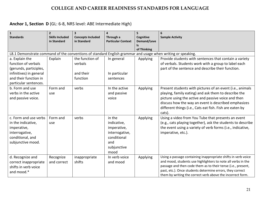## **Anchor 1, Section D** (GL: 6-8, NRS level: ABE Intermediate High)

| $\mathbf{1}$<br><b>Standards</b>          | $\overline{2}$<br><b>Skills Included</b> | $\overline{\mathbf{3}}$<br><b>Concepts Included</b> | 4<br>Through a            | 5<br>Cognitive           | 6<br><b>Sample Activity</b>                                                                                 |
|-------------------------------------------|------------------------------------------|-----------------------------------------------------|---------------------------|--------------------------|-------------------------------------------------------------------------------------------------------------|
|                                           | in Standard                              | in Standard                                         | <b>Particular Context</b> | Demand/Leve              |                                                                                                             |
|                                           |                                          |                                                     |                           | <b>Is</b><br>of Thinking |                                                                                                             |
|                                           |                                          |                                                     |                           |                          | L8.1 Demonstrate command of the conventions of standard English grammar and usage when writing or speaking. |
| a. Explain the                            | Explain                                  | the function of                                     | In general                | Applying                 | Provide students with sentences that contain a variety                                                      |
| function of verbals                       |                                          | verbals                                             |                           |                          | of verbals. Students work with a group to label each                                                        |
| (gerunds, participles,                    |                                          |                                                     |                           |                          | part of the sentence and describe their function.                                                           |
| infinitives) in general                   |                                          | and their                                           | In particular             |                          |                                                                                                             |
| and their function in                     |                                          | function                                            | sentences                 |                          |                                                                                                             |
| particular sentences.                     |                                          |                                                     |                           |                          |                                                                                                             |
| b. Form and use                           | Form and                                 | verbs                                               | In the active             | Applying                 | Present students with pictures of an event (i.e., animals                                                   |
| verbs in the active                       | use                                      |                                                     | and passive               |                          | playing, family eating) and ask them to describe the                                                        |
| and passive voice.                        |                                          |                                                     | voice                     |                          | picture using the active and passive voice and then                                                         |
|                                           |                                          |                                                     |                           |                          | discuss how the way an event is described emphasizes                                                        |
|                                           |                                          |                                                     |                           |                          | different things (i.e., Cats eat fish. Fish are eaten by                                                    |
|                                           |                                          |                                                     |                           |                          | cats).                                                                                                      |
| c. Form and use verbs                     | Form and                                 | verbs                                               | in the                    | Applying                 | Using a video from You Tube that presents an event                                                          |
| in the indicative,                        | use                                      |                                                     | indicative,               |                          | (e.g., cats playing together), ask the students to describe                                                 |
| imperative,                               |                                          |                                                     | imperative,               |                          | the event using a variety of verb forms (i.e., indicative,                                                  |
| interrogative,                            |                                          |                                                     | interrogative,            |                          | imperative, etc.).                                                                                          |
| conditional, and                          |                                          |                                                     | conditional               |                          |                                                                                                             |
| subjunctive mood.                         |                                          |                                                     | and                       |                          |                                                                                                             |
|                                           |                                          |                                                     | subjunctive               |                          |                                                                                                             |
|                                           |                                          |                                                     | mood<br>In verb voice     |                          | Using a passage containing inappropriate shifts in verb voice                                               |
| d. Recognize and<br>correct inappropriate | Recognize<br>and correct                 | inappropriate<br>shifts                             | and mood                  | Applying                 | and mood, students use highlighters to note all verbs in the                                                |
| shifts in verb voice                      |                                          |                                                     |                           |                          | passage and then code them as to their tense (i.e., present,                                                |
| and mood.*                                |                                          |                                                     |                           |                          | past, etc.). Once students determine errors, they correct                                                   |
|                                           |                                          |                                                     |                           |                          | them by writing the correct verb above the incorrect form.                                                  |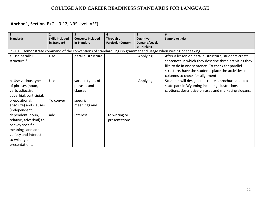## **Anchor 1, Section E** (GL: 9-12, NRS level: ASE)

| $\mathbf{1}$<br><b>Standards</b>                                                                                                              | $\overline{2}$<br><b>Skills Included</b><br>in Standard | $\overline{\mathbf{3}}$<br><b>Concepts Included</b><br>in Standard | Through a<br><b>Particular Context</b> | 5<br>Cognitive<br>Demand/Levels<br>of Thinking | 6<br><b>Sample Activity</b>                                                                                                                                                                                                                                     |
|-----------------------------------------------------------------------------------------------------------------------------------------------|---------------------------------------------------------|--------------------------------------------------------------------|----------------------------------------|------------------------------------------------|-----------------------------------------------------------------------------------------------------------------------------------------------------------------------------------------------------------------------------------------------------------------|
|                                                                                                                                               |                                                         |                                                                    |                                        |                                                | L9-10.1 Demonstrate command of the conventions of standard English grammar and usage when writing or speaking.                                                                                                                                                  |
| a. Use parallel<br>structure.*                                                                                                                | Use                                                     | parallel structure                                                 |                                        | Applying                                       | After a lesson on parallel structure, students create<br>sentences in which they describe three activities they<br>like to do in one sentence. To check for parallel<br>structure, have the students place the activities in<br>columns to check for alignment. |
| b. Use various types<br>of phrases (noun,<br>verb, adjectival,<br>adverbial, participial,                                                     | <b>Use</b>                                              | various types of<br>phrases and<br>clauses                         |                                        | Applying                                       | Students will design and create a brochure about a<br>state park in Wyoming including illustrations,<br>captions, descriptive phrases and marketing slogans.                                                                                                    |
| prepositional,<br>absolute) and clauses<br>(independent,                                                                                      | To convey                                               | specific<br>meanings and                                           |                                        |                                                |                                                                                                                                                                                                                                                                 |
| dependent; noun,<br>relative, adverbial) to<br>convey specific<br>meanings and add<br>variety and interest<br>to writing or<br>presentations. | add                                                     | interest                                                           | to writing or<br>presentations         |                                                |                                                                                                                                                                                                                                                                 |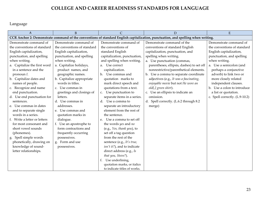## Language

| A                            | $\overline{B}$              | $\mathcal{C}$                     | D                                                                                                                                | E                              |
|------------------------------|-----------------------------|-----------------------------------|----------------------------------------------------------------------------------------------------------------------------------|--------------------------------|
|                              |                             |                                   | CCR Anchor 2: Demonstrate command of the conventions of standard English capitalization, punctuation, and spelling when writing. |                                |
| Demonstrate command of       | Demonstrate command of      | Demonstrate command of            | Demonstrate command of the                                                                                                       | Demonstrate command of         |
| the conventions of standard  | the conventions of standard | the conventions of                | conventions of standard English                                                                                                  | the conventions of standard    |
| English capitalization,      | English capitalization,     | standard English                  | capitalization, punctuation, and                                                                                                 | English capitalization,        |
| punctuation, and spelling    | punctuation, and spelling   | capitalization, punctuation,      | spelling when writing.                                                                                                           | punctuation, and spelling      |
| when writing.                | when writing.               | and spelling when writing.        | a. Use punctuation (commas,                                                                                                      | when writing.                  |
| a. Capitalize the first word | a. Capitalize holidays,     | a. Use correct                    | parentheses, ellipsis, dashes) to set off                                                                                        | a. Use a semicolon (and        |
| in a sentence and the        | product names, and          | capitalization.                   | nonrestrictive/parenthetical elements.                                                                                           | perhaps a conjunctive          |
| pronoun I.                   | geographic names.           | b. Use commas and                 | b. Use a comma to separate coordinate                                                                                            | adverb) to link two or         |
| b. Capitalize dates and      | b. Capitalize appropriate   | quotation marks to                | adjectives (e.g., It was a fascinating,                                                                                          | more closely related           |
| names of people.             | words in titles.            | mark direct speech and            | enjoyable movie but not He wore an                                                                                               | independent clauses.           |
| c. Recognize and name        | c. Use commas in            | quotations from a text.           | old[,] green shirt).                                                                                                             | b. Use a colon to introduce    |
| end punctuation.             | greetings and closings of   | c. Use punctuation to             | c. Use an ellipsis to indicate an                                                                                                | a list or quotation.           |
| d. Use end punctuation for   | letters.                    | separate items in a series.       | omission.                                                                                                                        | c. Spell correctly. (L.9-10.2) |
| sentences.                   | d. Use commas in            | Use a comma to<br>d.              | d. Spell correctly. (L.6.2 through 8.2                                                                                           |                                |
| e. Use commas in dates       | addresses.                  | separate an introductory          | merge)                                                                                                                           |                                |
| and to separate single       | e. Use commas and           | element from the rest of          |                                                                                                                                  |                                |
| words in a series.           | quotation marks in          | the sentence.                     |                                                                                                                                  |                                |
| f. Write a letter or letters | dialogue.                   | Use a comma to set off<br>$e_{i}$ |                                                                                                                                  |                                |
| for most consonant and       | f. Use an apostrophe to     | the words yes and no              |                                                                                                                                  |                                |
| short vowel sounds           | form contractions and       | (e.g., Yes, thank you), to        |                                                                                                                                  |                                |
| (phonemes).                  | frequently occurring        | set off a tag question            |                                                                                                                                  |                                |
| g. Spell simple words        | possessives.                | from the rest of the              |                                                                                                                                  |                                |
| phonetically, drawing on     | g. Form and use             | sentence (e.g., It's true,        |                                                                                                                                  |                                |
| knowledge of sound-          | possessives.                | $isn't$ it?), and to indicate     |                                                                                                                                  |                                |
| letter relationships.        |                             | direct address (e.g., Is          |                                                                                                                                  |                                |
|                              |                             | that you, Steve?).                |                                                                                                                                  |                                |
|                              |                             | Use underlining,                  |                                                                                                                                  |                                |
|                              |                             | quotation marks, or italics       |                                                                                                                                  |                                |
|                              |                             | to indicate titles of works.      |                                                                                                                                  |                                |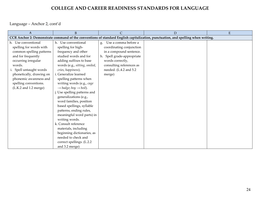Language – Anchor 2, cont'd

| $\overline{A}$           | $\overline{B}$                                | $\overline{C}$             | D                                                                                                                                | ${\bf E}$ |
|--------------------------|-----------------------------------------------|----------------------------|----------------------------------------------------------------------------------------------------------------------------------|-----------|
|                          |                                               |                            | CCR Anchor 2: Demonstrate command of the conventions of standard English capitalization, punctuation, and spelling when writing. |           |
| h. Use conventional      | h. Use conventional                           | Use a comma before a<br>g. |                                                                                                                                  |           |
| spelling for words with  | spelling for high-                            | coordinating conjunction   |                                                                                                                                  |           |
| common spelling patterns | frequency and other                           | in a compound sentence.    |                                                                                                                                  |           |
| and for frequently       | studied words and for                         | h. Spell grade-appropriate |                                                                                                                                  |           |
| occurring irregular      | adding suffixes to base                       | words correctly,           |                                                                                                                                  |           |
| words.                   | words (e.g., sitting, smiled,                 | consulting references as   |                                                                                                                                  |           |
| i. Spell untaught words  | cries, happiness).                            | needed. (L.4.2 and 5.2)    |                                                                                                                                  |           |
| phonetically, drawing on | i. Generalize learned                         | merge)                     |                                                                                                                                  |           |
| phonemic awareness and   | spelling patterns when                        |                            |                                                                                                                                  |           |
| spelling conventions.    | writing words (e.g., cage                     |                            |                                                                                                                                  |           |
| (L.K.2 and 1.2 merge)    | $\rightarrow$ badge; boy $\rightarrow$ boil). |                            |                                                                                                                                  |           |
|                          | Use spelling patterns and                     |                            |                                                                                                                                  |           |
|                          | generalizations (e.g.,                        |                            |                                                                                                                                  |           |
|                          | word families, position                       |                            |                                                                                                                                  |           |
|                          | based spellings, syllable                     |                            |                                                                                                                                  |           |
|                          | patterns, ending rules,                       |                            |                                                                                                                                  |           |
|                          | meaningful word parts) in                     |                            |                                                                                                                                  |           |
|                          | writing words.                                |                            |                                                                                                                                  |           |
|                          | k. Consult reference                          |                            |                                                                                                                                  |           |
|                          | materials, including                          |                            |                                                                                                                                  |           |
|                          | beginning dictionaries, as                    |                            |                                                                                                                                  |           |
|                          | needed to check and                           |                            |                                                                                                                                  |           |
|                          | correct spellings. (L.2.2                     |                            |                                                                                                                                  |           |
|                          | and 3.2 merge)                                |                            |                                                                                                                                  |           |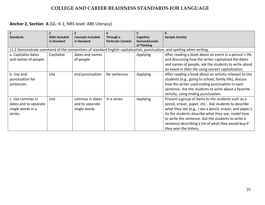## **Anchor 2, Section A** (GL: K-1, NRS level: ABE Literacy)

| $\vert$ 1             | $\overline{2}$         |                          |                           |                      |                                                                                                                         |
|-----------------------|------------------------|--------------------------|---------------------------|----------------------|-------------------------------------------------------------------------------------------------------------------------|
| <b>Standards</b>      | <b>Skills Included</b> | <b>Concepts Included</b> | Through a                 | Cognitive            | <b>Sample Activity</b>                                                                                                  |
|                       | in Standard            | in Standard              | <b>Particular Context</b> | <b>Demand/Levels</b> |                                                                                                                         |
|                       |                        |                          |                           | of Thinking          |                                                                                                                         |
|                       |                        |                          |                           |                      | L1.2 Demonstrate command of the conventions of standard English capitalization, punctuation, and spelling when writing. |
| a. Capitalize dates   | Capitalize             | dates and names          |                           | Applying             | After reading a book about an event in a person's life                                                                  |
| and names of people.  |                        | of people                |                           |                      | and discussing how the writer capitalized the dates                                                                     |
|                       |                        |                          |                           |                      | and names of people, ask the students to write about                                                                    |
|                       |                        |                          |                           |                      | an event in their life using correct capitalization.                                                                    |
| b. Use end            | Use                    | end punctuation          | for sentences             | Applying             | After reading a book about an activity relevant to the                                                                  |
| punctuation for       |                        |                          |                           |                      | students (e.g., going to school, family life), discuss                                                                  |
| sentences.            |                        |                          |                           |                      | how the writer used ending punctuation in each                                                                          |
|                       |                        |                          |                           |                      | sentence. Ask the students to write about a favorite                                                                    |
|                       |                        |                          |                           |                      | activity, using ending punctuation.                                                                                     |
| c. Use commas in      | Use                    | commas in dates          | in a series               | Applying             | Present a group of items to the students such as a                                                                      |
| dates and to separate |                        | and to separate          |                           |                      | pencil, eraser, paper, etc Ask students to describe                                                                     |
| single words in a     |                        | single words             |                           |                      | what they see (e.g., I see a pencil, eraser, and paper.).                                                               |
| series.               |                        |                          |                           |                      | As the students describe what they see, model how                                                                       |
|                       |                        |                          |                           |                      | to write the sentence. Ask the students to write a                                                                      |
|                       |                        |                          |                           |                      | sentence describing a list of what they would buy if                                                                    |
|                       |                        |                          |                           |                      | they won the lottery.                                                                                                   |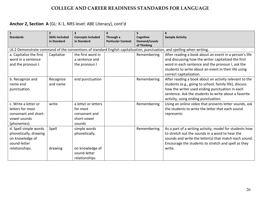# **Anchor 2, Section A** (GL: K-1, NRS level: ABE Literacy), cont'd

| $\mathbf{1}$            | $\overline{2}$         |                          | 4                         | 5                    |                                                                                                                         |
|-------------------------|------------------------|--------------------------|---------------------------|----------------------|-------------------------------------------------------------------------------------------------------------------------|
| <b>Standards</b>        | <b>Skills Included</b> | <b>Concepts Included</b> | Through a                 | Cognitive            | <b>Sample Activity</b>                                                                                                  |
|                         | in Standard            | in Standard              | <b>Particular Context</b> | <b>Demand/Levels</b> |                                                                                                                         |
|                         |                        |                          |                           | of Thinking          |                                                                                                                         |
|                         |                        |                          |                           |                      | LK.2 Demonstrate command of the conventions of standard English capitalization, punctuation, and spelling when writing. |
| a. Capitalize the first | Capitalize             | the first word in        |                           | Remembering          | After reading a book about an event in a person's life                                                                  |
| word in a sentence      |                        | a sentence and           |                           |                      | and discussing how the writer capitalized the first                                                                     |
| and the pronoun I.      |                        | the pronoun /            |                           |                      | word in each sentence and the pronoun I, ask the                                                                        |
|                         |                        |                          |                           |                      | students to write about an event in their life using                                                                    |
|                         |                        |                          |                           |                      | correct capitalization.                                                                                                 |
| b. Recognize and        | Recognize              | end punctuation          |                           | Remembering          | After reading a book about an activity relevant to the                                                                  |
| name end                | and name               |                          |                           |                      | students (e.g., going to school, family life), discuss                                                                  |
| punctuation.            |                        |                          |                           |                      | how the writer used ending punctuation in each                                                                          |
|                         |                        |                          |                           |                      | sentence. Ask the students to write about a favorite                                                                    |
|                         |                        |                          |                           |                      | activity, using ending punctuation.                                                                                     |
| c. Write a letter or    | write                  | a letter or letters      |                           | Remembering          | Using an online video that presents letter sounds, ask                                                                  |
| letters for most        |                        | for most                 |                           |                      | the students to write the letter that each sound                                                                        |
| consonant and short-    |                        | consonant and            |                           |                      | represents                                                                                                              |
| vowel sounds            |                        | short-vowel              |                           |                      |                                                                                                                         |
| (phonemes).             |                        | sounds                   |                           |                      |                                                                                                                         |
| d. Spell simple words   | Spell                  | simple words             |                           | Remembering          | As a part of a writing activity, model for students how                                                                 |
| phonetically, drawing   |                        | phonetically,            |                           |                      | to stretch out the sounds in a word to hear the                                                                         |
| on knowledge of         |                        |                          |                           |                      | sounds and write the letter(s) that match each sound.                                                                   |
| sound-letter            |                        |                          |                           |                      | Encourage the students to stretch and spell as they                                                                     |
|                         |                        |                          |                           |                      | write.                                                                                                                  |
| relationships.          | drawing                | on knowledge of          |                           |                      |                                                                                                                         |
|                         |                        | sound-letter             |                           |                      |                                                                                                                         |
|                         |                        | relationships            |                           |                      |                                                                                                                         |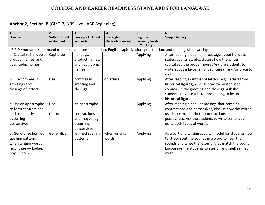| $\mathbf{1}$<br><b>Standards</b> | $\overline{2}$<br><b>Skills Included</b><br>in Standard | 3<br><b>Concepts Included</b><br>in Standard | 4<br>Through a<br><b>Particular Context</b> | 5<br>Cognitive<br><b>Demand/Levels</b> | 6<br><b>Sample Activity</b>                                                                                             |
|----------------------------------|---------------------------------------------------------|----------------------------------------------|---------------------------------------------|----------------------------------------|-------------------------------------------------------------------------------------------------------------------------|
|                                  |                                                         |                                              |                                             | of Thinking                            |                                                                                                                         |
|                                  |                                                         |                                              |                                             |                                        | L2.2 Demonstrate command of the conventions of standard English capitalization, punctuation, and spelling when writing. |
| a. Capitalize holidays,          | Capitalize                                              | holidays,                                    |                                             | Applying                               | After reading a book(s) or passage about holidays,                                                                      |
| product names, and               |                                                         | product names,                               |                                             |                                        | states, countries, etcdiscuss how the writer                                                                            |
| geographic names.                |                                                         | and geographic                               |                                             |                                        | capitalized the proper nouns. Ask the students to                                                                       |
|                                  |                                                         | names                                        |                                             |                                        | write about a favorite holiday, cereal, and/or place to                                                                 |
|                                  |                                                         |                                              |                                             |                                        | visit.                                                                                                                  |
| b. Use commas in                 | Use                                                     | commas in                                    | of letters                                  | Applying                               | After reading examples of letters (e.g., letters from                                                                   |
| greetings and                    |                                                         | greeting and                                 |                                             |                                        | historical figures), discuss how the writer used                                                                        |
| closings of letters.             |                                                         | closings                                     |                                             |                                        | commas in the greeting and closings. Ask the                                                                            |
|                                  |                                                         |                                              |                                             |                                        | students to write a letter pretending to be an                                                                          |
|                                  |                                                         |                                              |                                             |                                        | historical figure.                                                                                                      |
| c. Use an apostrophe             | Use                                                     | an apostrophe                                |                                             | Applying                               | After reading a book or passage that contains                                                                           |
| to form contractions             |                                                         |                                              |                                             |                                        | contractions and possessives, discuss how the writer                                                                    |
| and frequently                   | to form                                                 | contractions                                 |                                             |                                        | used apostrophes in the contractions and                                                                                |
| occurring                        |                                                         | and frequently                               |                                             |                                        | possessives. Ask the students to write sentences                                                                        |
| possessives.                     |                                                         | occurring                                    |                                             |                                        | using both types of words.                                                                                              |
|                                  |                                                         | possessives                                  |                                             |                                        |                                                                                                                         |
| d. Generalize learned            | Generalize                                              | learned spelling                             | when writing                                | Applying                               | As a part of a writing activity, model for students how                                                                 |
| spelling patterns                |                                                         | patterns                                     | words                                       |                                        | to stretch out the sounds in a word to hear the                                                                         |
| when writing words               |                                                         |                                              |                                             |                                        | sounds and write the letter(s) that match the sound.                                                                    |
| (e.g., cage $\rightarrow$ badge; |                                                         |                                              |                                             |                                        | Encourage the students to stretch and spell as they                                                                     |
| boy $\rightarrow$ boil).         |                                                         |                                              |                                             |                                        | write.                                                                                                                  |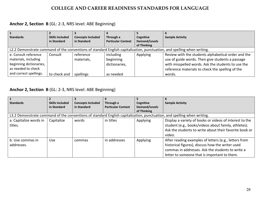## **Anchor 2, Section B** (GL: 2-3, NRS level: ABE Beginning)

| <b>Standards</b>        | <b>Skills Included</b> | <b>Concepts Included</b> | Through a                 | Cognitive     | <b>Sample Activity</b>                                                                                                  |
|-------------------------|------------------------|--------------------------|---------------------------|---------------|-------------------------------------------------------------------------------------------------------------------------|
|                         | in Standard            | in Standard              | <b>Particular Context</b> | Demand/Levels |                                                                                                                         |
|                         |                        |                          |                           | of Thinking   |                                                                                                                         |
|                         |                        |                          |                           |               | L2.2 Demonstrate command of the conventions of standard English capitalization, punctuation, and spelling when writing. |
| e. Consult reference    | Consult                | reference                | including                 | Applying      | Review with the students alphabetical order and the                                                                     |
| materials, including    |                        | materials,               | beginning                 |               | use of guide words. Then give students a passage                                                                        |
| beginning dictionaries, |                        |                          | dictionaries,             |               | with misspelled words. Ask the students to use the                                                                      |
| as needed to check      |                        |                          |                           |               | reference materials to check the spelling of the                                                                        |
| and correct spellings.  | to check and           | spellings                | as needed                 |               | words.                                                                                                                  |

| <b>Standards</b>       | <b>Skills Included</b> | <b>Concepts Included</b> | Through a                 | Cognitive     | <b>Sample Activity</b>                                                                                                  |
|------------------------|------------------------|--------------------------|---------------------------|---------------|-------------------------------------------------------------------------------------------------------------------------|
|                        | in Standard            | in Standard              | <b>Particular Context</b> | Demand/Levels |                                                                                                                         |
|                        |                        |                          |                           | of Thinking   |                                                                                                                         |
|                        |                        |                          |                           |               | L3.2 Demonstrate command of the conventions of standard English capitalization, punctuation, and spelling when writing. |
| a. Capitalize words in | Capitalize             | words                    | in titles                 | Applying      | Display a variety of books or videos of interest to the                                                                 |
| titles.                |                        |                          |                           |               | student (e.g., books/videos about family, athletes).                                                                    |
|                        |                        |                          |                           |               | Ask the students to write about their favorite book or                                                                  |
|                        |                        |                          |                           |               | video.                                                                                                                  |
| b. Use commas in       | Use.                   | commas                   | in addresses              | Applying      | After reading examples of letters (e.g., letters from                                                                   |
| addresses.             |                        |                          |                           |               | historical figures), discuss how the writer used                                                                        |
|                        |                        |                          |                           |               | commas in addresses. Ask the students to write a                                                                        |
|                        |                        |                          |                           |               | letter to someone that is important to them.                                                                            |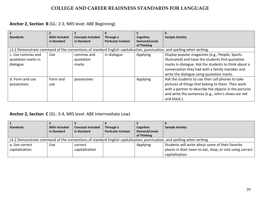## **Anchor 2, Section B** (GL: 2-3, NRS level: ABE Beginning)

| $\mathbf{1}$       |                        |                          |                           |                      | 6                                                                                                                       |
|--------------------|------------------------|--------------------------|---------------------------|----------------------|-------------------------------------------------------------------------------------------------------------------------|
| <b>Standards</b>   | <b>Skills Included</b> | <b>Concepts Included</b> | Through a                 | Cognitive            | <b>Sample Activity</b>                                                                                                  |
|                    | in Standard            | in Standard              | <b>Particular Context</b> | <b>Demand/Levels</b> |                                                                                                                         |
|                    |                        |                          |                           | of Thinking          |                                                                                                                         |
|                    |                        |                          |                           |                      | L3.2 Demonstrate command of the conventions of standard English capitalization, punctuation, and spelling when writing. |
| c. Use commas and  | <b>Use</b>             | commas and               | in dialogue               | Applying             | Display popular magazines (e.g., People, Sports                                                                         |
| quotation marks in |                        | quotation                |                           |                      | Illustrated) and have the students find quotation                                                                       |
| dialogue.          |                        | marks                    |                           |                      | marks in dialogue. Ask the students to think about a                                                                    |
|                    |                        |                          |                           |                      | conversation they had with a family member and                                                                          |
|                    |                        |                          |                           |                      | write the dialogue using quotation marks.                                                                               |
| d. Form and use    | Form and               | possessives              |                           | Applying             | Ask the students to use their cell phones to take                                                                       |
| possessives.       | use                    |                          |                           |                      | pictures of things that belong to them. Then work                                                                       |
|                    |                        |                          |                           |                      | with a partner to describe the objects in the pictures                                                                  |
|                    |                        |                          |                           |                      | and write the sentences (e.g., John's shoes are red                                                                     |
|                    |                        |                          |                           |                      | and black.).                                                                                                            |

#### **Anchor 2, Section C** (GL: 3-4, NRS level: ABE Intermediate Low)

| <b>Standards</b> | <b>Skills Included</b> | <b>Concepts Included</b> | Through a                 | Cognitive     | <b>Sample Activity</b>                                                                                                  |
|------------------|------------------------|--------------------------|---------------------------|---------------|-------------------------------------------------------------------------------------------------------------------------|
|                  | in Standard            | in Standard              | <b>Particular Context</b> | Demand/Levels |                                                                                                                         |
|                  |                        |                          |                           | of Thinking   |                                                                                                                         |
|                  |                        |                          |                           |               | L4.2 Demonstrate command of the conventions of standard English capitalization, punctuation, and spelling when writing. |
| a. Use correct   | <b>Use</b>             | correct                  |                           | Applying      | Students will write about some of their favorite                                                                        |
| capitalization.  |                        | capitalization           |                           |               | places in their town to eat, shop, or visit using correct                                                               |
|                  |                        |                          |                           |               | capitalization.                                                                                                         |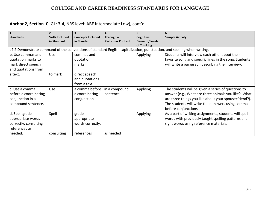## **Anchor 2, Section C** (GL: 3-4, NRS level: ABE Intermediate Low), cont'd

|                       | $\overline{2}$         |                          | 4                         |                 |                                                                                                                         |
|-----------------------|------------------------|--------------------------|---------------------------|-----------------|-------------------------------------------------------------------------------------------------------------------------|
| <b>Standards</b>      | <b>Skills Included</b> | <b>Concepts Included</b> | Through a                 | Cognitive       | <b>Sample Activity</b>                                                                                                  |
|                       | in Standard            | in Standard              | <b>Particular Context</b> | Demand/Levels   |                                                                                                                         |
|                       |                        |                          |                           | of Thinking     |                                                                                                                         |
|                       |                        |                          |                           |                 | L4.2 Demonstrate command of the conventions of standard English capitalization, punctuation, and spelling when writing. |
| b. Use commas and     | Use                    | commas and               |                           | <b>Applying</b> | Students will interview each other about their                                                                          |
| quotation marks to    |                        | quotation                |                           |                 | favorite song and specific lines in the song. Students                                                                  |
| mark direct speech    |                        | marks                    |                           |                 | will write a paragraph describing the interview.                                                                        |
| and quotations from   |                        |                          |                           |                 |                                                                                                                         |
| a text.               | to mark                | direct speech            |                           |                 |                                                                                                                         |
|                       |                        | and quotations           |                           |                 |                                                                                                                         |
|                       |                        | from a text              |                           |                 |                                                                                                                         |
| c. Use a comma        | Use                    | a comma before           | in a compound             | Applying        | The students will be given a series of questions to                                                                     |
| before a coordinating |                        | a coordinating           | sentence                  |                 | answer (e.g., What are three animals you like?, What                                                                    |
| conjunction in a      |                        | conjunction              |                           |                 | are three things you like about your spouse/friend?).                                                                   |
| compound sentence.    |                        |                          |                           |                 | The students will write their answers using commas                                                                      |
|                       |                        |                          |                           |                 | before conjunctions.                                                                                                    |
| d. Spell grade-       | Spell                  | grade-                   |                           | Applying        | As a part of writing assignments, students will spell                                                                   |
| appropriate words     |                        | appropriate              |                           |                 | words with previously taught spelling patterns and                                                                      |
| correctly, consulting |                        | words correctly,         |                           |                 | sight words using reference materials.                                                                                  |
| references as         |                        |                          |                           |                 |                                                                                                                         |
| needed.               | consulting             | references               | as needed                 |                 |                                                                                                                         |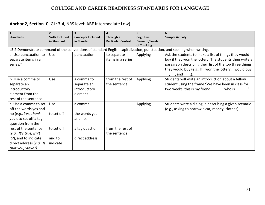## **Anchor 2, Section C** (GL: 3-4, NRS level: ABE Intermediate Low)

| $\mathbf{1}$              | $\overline{2}$         | 3                        | 4                         | 5                                   |                                                                                                                         |
|---------------------------|------------------------|--------------------------|---------------------------|-------------------------------------|-------------------------------------------------------------------------------------------------------------------------|
| <b>Standards</b>          | <b>Skills Included</b> | <b>Concepts Included</b> | Through a                 | Cognitive                           | <b>Sample Activity</b>                                                                                                  |
|                           | in Standard            | in Standard              | <b>Particular Context</b> | <b>Demand/Levels</b><br>of Thinking |                                                                                                                         |
|                           |                        |                          |                           |                                     | L5.2 Demonstrate command of the conventions of standard English capitalization, punctuation, and spelling when writing. |
| a. Use punctuation to     | Use                    | punctuation              | to separate               | Applying                            | Ask the students to make a list of things they would                                                                    |
| separate items in a       |                        |                          | items in a series         |                                     | buy if they won the lottery. The students then write a                                                                  |
| series.*                  |                        |                          |                           |                                     | paragraph describing their list of the top three things                                                                 |
|                           |                        |                          |                           |                                     | they would buy (e.g., If I won the lottery, I would buy                                                                 |
|                           |                        |                          |                           |                                     | $\_,\_,$ and $\_,$ .).                                                                                                  |
| b. Use a comma to         | Use                    | a comma to               | from the rest of          | Applying                            | Students will write an introduction about a fellow                                                                      |
| separate an               |                        | separate an              | the sentence              |                                     | student using the frame "We have been in class for                                                                      |
| introductory              |                        | introductory             |                           |                                     | two weeks, this is my friend, who is                                                                                    |
| element from the          |                        | element                  |                           |                                     |                                                                                                                         |
| rest of the sentence.     |                        |                          |                           |                                     |                                                                                                                         |
| c. Use a comma to set     | Use                    | a comma                  |                           | Applying                            | Students write a dialogue describing a given scenario                                                                   |
| off the words yes and     |                        |                          |                           |                                     | (e.g., asking to borrow a car, money, clothes).                                                                         |
| no (e.g., Yes, thank      | to set off             | the words yes            |                           |                                     |                                                                                                                         |
| you), to set off a tag    |                        | and no,                  |                           |                                     |                                                                                                                         |
| question from the         |                        |                          |                           |                                     |                                                                                                                         |
| rest of the sentence      | to set off             | a tag question           | from the rest of          |                                     |                                                                                                                         |
| $(e.g.,$ It's true, isn't |                        |                          | the sentence              |                                     |                                                                                                                         |
| it?), and to indicate     | and to                 | direct address           |                           |                                     |                                                                                                                         |
| direct address (e.g., Is  | indicate               |                          |                           |                                     |                                                                                                                         |
| that you, Steve?).        |                        |                          |                           |                                     |                                                                                                                         |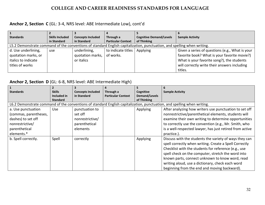#### **Anchor 2, Section C** (GL: 3-4, NRS level: ABE Intermediate Low), cont'd

| <b>Standards</b>    | <b>Skills Included</b> | <b>Concepts Included</b> | Through a                 | <b>Cognitive Demand/Levels</b>                                                                                          | <b>Sample Activity</b>                          |
|---------------------|------------------------|--------------------------|---------------------------|-------------------------------------------------------------------------------------------------------------------------|-------------------------------------------------|
|                     | in Standard            | in Standard              | <b>Particular Context</b> | of Thinking                                                                                                             |                                                 |
|                     |                        |                          |                           | L5.2 Demonstrate command of the conventions of standard English capitalization, punctuation, and spelling when writing. |                                                 |
| d. Use underlining, | use                    | underlining,             | to indicate titles        | Applying                                                                                                                | Given a series of questions (e.g., What is your |
| quotation marks, or |                        | quotation marks,         | of works.                 |                                                                                                                         | favorite book? What is your favorite movie?)    |
| italics to indicate |                        | or italics               |                           |                                                                                                                         | What is your favorite song?), the students      |
| titles of works     |                        |                          |                           |                                                                                                                         | will correctly write their answers including    |
|                     |                        |                          |                           |                                                                                                                         | titles.                                         |

#### **Anchor 2, Section D** (GL: 6-8, NRS level: ABE Intermediate High)

| $\mathbf{1}$          |                 |                          |                           |               | 6                                                                                                                       |
|-----------------------|-----------------|--------------------------|---------------------------|---------------|-------------------------------------------------------------------------------------------------------------------------|
| <b>Standards</b>      | <b>Skills</b>   | <b>Concepts Included</b> | Through a                 | Cognitive     | <b>Sample Activity</b>                                                                                                  |
|                       | Included in     | in Standard              | <b>Particular Context</b> | Demand/Levels |                                                                                                                         |
|                       | <b>Standard</b> |                          |                           | of Thinking   |                                                                                                                         |
|                       |                 |                          |                           |               | L6.2 Demonstrate command of the conventions of standard English capitalization, punctuation, and spelling when writing. |
| a. Use punctuation    | <b>Use</b>      | punctuation to           |                           | Applying      | After analyzing how writers use punctuation to set off                                                                  |
| (commas, parentheses, |                 | set off                  |                           |               | nonrestrictive/parenthetical elements, students will                                                                    |
| dashes) to set off    |                 | nonrestrictive/          |                           |               | examine their own writing to determine opportunities                                                                    |
| nonrestrictive/       |                 | parenthetical            |                           |               | to correctly use the convention (e.g., Mr. Smith, who                                                                   |
| parenthetical         |                 | elements                 |                           |               | is a well-respected lawyer, has just retired from active                                                                |
| elements.*            |                 |                          |                           |               | practice.).                                                                                                             |
| b. Spell correctly.   | Spell           | correctly                |                           | Applying      | Discuss with the students the variety of ways they can                                                                  |
|                       |                 |                          |                           |               | spell correctly when writing. Create a Spell Correctly                                                                  |
|                       |                 |                          |                           |               | Checklist with the students for reference (e.g., use                                                                    |
|                       |                 |                          |                           |               | spell check on the computer, stretch the word into                                                                      |
|                       |                 |                          |                           |               | known parts, connect unknown to know word, read                                                                         |
|                       |                 |                          |                           |               | writing aloud, use a dictionary, check each word                                                                        |
|                       |                 |                          |                           |               | beginning from the end and moving backward).                                                                            |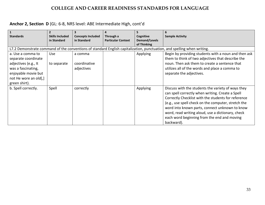## **Anchor 2, Section D** (GL: 6-8, NRS level: ABE Intermediate High, cont'd

| $\vert$ 1<br><b>Standards</b> | $\overline{2}$<br><b>Skills Included</b><br>in Standard | 3<br><b>Concepts Included</b><br>in Standard | 4<br>Through a<br><b>Particular Context</b> | 5<br>Cognitive<br>Demand/Levels | 6<br><b>Sample Activity</b>                                                                                                                                                                                                                                                                                                                                                              |
|-------------------------------|---------------------------------------------------------|----------------------------------------------|---------------------------------------------|---------------------------------|------------------------------------------------------------------------------------------------------------------------------------------------------------------------------------------------------------------------------------------------------------------------------------------------------------------------------------------------------------------------------------------|
|                               |                                                         |                                              |                                             | of Thinking                     |                                                                                                                                                                                                                                                                                                                                                                                          |
|                               |                                                         |                                              |                                             |                                 | L7.2 Demonstrate command of the conventions of standard English capitalization, punctuation, and spelling when writing.                                                                                                                                                                                                                                                                  |
| a. Use a comma to             | Use                                                     | a comma                                      |                                             | Applying                        | Begin by providing students with a noun and then ask                                                                                                                                                                                                                                                                                                                                     |
| separate coordinate           |                                                         |                                              |                                             |                                 | them to think of two adjectives that describe the                                                                                                                                                                                                                                                                                                                                        |
| adjectives (e.g., It          | to separate                                             | coordinative                                 |                                             |                                 | noun. Then ask them to create a sentence that                                                                                                                                                                                                                                                                                                                                            |
| was a fascinating,            |                                                         | adjectives                                   |                                             |                                 | utilizes all of the words and place a comma to                                                                                                                                                                                                                                                                                                                                           |
| enjoyable movie but           |                                                         |                                              |                                             |                                 | separate the adjectives.                                                                                                                                                                                                                                                                                                                                                                 |
| not He wore an old[,]         |                                                         |                                              |                                             |                                 |                                                                                                                                                                                                                                                                                                                                                                                          |
| green shirt).                 |                                                         |                                              |                                             |                                 |                                                                                                                                                                                                                                                                                                                                                                                          |
| b. Spell correctly.           | Spell                                                   | correctly                                    |                                             | Applying                        | Discuss with the students the variety of ways they<br>can spell correctly when writing. Create a Spell<br>Correctly Checklist with the students for reference<br>(e.g., use spell check on the computer, stretch the<br>word into known parts, connect unknown to know<br>word, read writing aloud, use a dictionary, check<br>each word beginning from the end and moving<br>backward). |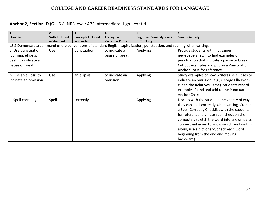## **Anchor 2, Section D** (GL: 6-8, NRS level: ABE Intermediate High), cont'd

| $\vert$ 1                                                                        | $\overline{\phantom{a}}$              |                                         | 4                                      |                                                                                                                         | 6                                                                                                                                                                                                                                                                                                                                                                                           |
|----------------------------------------------------------------------------------|---------------------------------------|-----------------------------------------|----------------------------------------|-------------------------------------------------------------------------------------------------------------------------|---------------------------------------------------------------------------------------------------------------------------------------------------------------------------------------------------------------------------------------------------------------------------------------------------------------------------------------------------------------------------------------------|
| <b>Standards</b>                                                                 | <b>Skills Included</b><br>in Standard | <b>Concepts Included</b><br>in Standard | Through a<br><b>Particular Context</b> | <b>Cognitive Demand/Levels</b><br>of Thinking                                                                           | <b>Sample Activity</b>                                                                                                                                                                                                                                                                                                                                                                      |
|                                                                                  |                                       |                                         |                                        | L8.2 Demonstrate command of the conventions of standard English capitalization, punctuation, and spelling when writing. |                                                                                                                                                                                                                                                                                                                                                                                             |
| a. Use punctuation<br>(comma, ellipsis,<br>dash) to indicate a<br>pause or break | Use                                   | punctuation                             | to indicate a<br>pause or break        | Applying                                                                                                                | Provide students with magazines,<br>newspapers, etc to find examples of<br>punctuation that indicate a pause or break.<br>Cut out examples and put on a Punctuation                                                                                                                                                                                                                         |
|                                                                                  |                                       |                                         |                                        |                                                                                                                         | Anchor Chart for reference.                                                                                                                                                                                                                                                                                                                                                                 |
| b. Use an ellipsis to<br>indicate an omission.                                   | <b>Use</b>                            | an ellipsis                             | to indicate an<br>omission             | Applying                                                                                                                | Study examples of how writers use ellipses to<br>indicate an omission (e.g., George Ella Lyon-<br>When the Relatives Came). Students record<br>examples found and add to the Punctuation<br>Anchor Chart.                                                                                                                                                                                   |
| c. Spell correctly.                                                              | Spell                                 | correctly                               |                                        | Applying                                                                                                                | Discuss with the students the variety of ways<br>they can spell correctly when writing. Create<br>a Spell Correctly Checklist with the students<br>for reference (e.g., use spell check on the<br>computer, stretch the word into known parts,<br>connect unknown to know word, read writing<br>aloud, use a dictionary, check each word<br>beginning from the end and moving<br>backward). |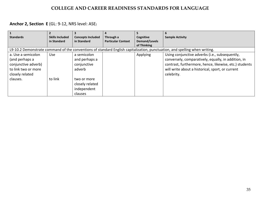## **Anchor 2, Section E** (GL: 9-12, NRS level: ASE)

| <b>Standards</b>    | <b>Skills Included</b> | <b>Concepts Included</b> | Through a                 | Cognitive     | <b>Sample Activity</b>                                                                                                     |
|---------------------|------------------------|--------------------------|---------------------------|---------------|----------------------------------------------------------------------------------------------------------------------------|
|                     | in Standard            | in Standard              | <b>Particular Context</b> | Demand/Levels |                                                                                                                            |
|                     |                        |                          |                           | of Thinking   |                                                                                                                            |
|                     |                        |                          |                           |               | L9-10.2 Demonstrate command of the conventions of standard English capitalization, punctuation, and spelling when writing. |
| a. Use a semicolon  | Use                    | a semicolon              |                           | Applying      | Using conjunctive adverbs (i.e., subsequently,                                                                             |
| (and perhaps a      |                        | and perhaps a            |                           |               | conversely, comparatively, equally, in addition, in                                                                        |
| conjunctive adverb) |                        | conjunctive              |                           |               | contrast, furthermore, hence, likewise, etc.) students                                                                     |
| to link two or more |                        | adverb                   |                           |               | will write about a historical, sport, or current                                                                           |
| closely related     |                        |                          |                           |               | celebrity.                                                                                                                 |
| clauses.            | to link                | two or more              |                           |               |                                                                                                                            |
|                     |                        | closely related          |                           |               |                                                                                                                            |
|                     |                        | independent              |                           |               |                                                                                                                            |
|                     |                        | clauses                  |                           |               |                                                                                                                            |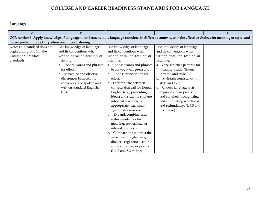Language

| A                                                                                                                                                         | B                              | C                                      | D                              | E |  |  |  |  |
|-----------------------------------------------------------------------------------------------------------------------------------------------------------|--------------------------------|----------------------------------------|--------------------------------|---|--|--|--|--|
| CCR Anchor 3: Apply knowledge of language to understand how language functions in different contexts, to make effective choices for meaning or style, and |                                |                                        |                                |   |  |  |  |  |
| to comprehend more fully when reading or listening.                                                                                                       |                                |                                        |                                |   |  |  |  |  |
| Note: This standard does not                                                                                                                              | Use knowledge of language      | Use knowledge of language              | Use knowledge of language      |   |  |  |  |  |
| begin until grade 2 in the                                                                                                                                | and its conventions when       | and its conventions when               | and its conventions when       |   |  |  |  |  |
| Common Core State                                                                                                                                         | writing, speaking, reading, or | writing, speaking, reading, or         | writing, speaking, reading, or |   |  |  |  |  |
| Standards.                                                                                                                                                | listening.                     | listening.                             | listening.                     |   |  |  |  |  |
|                                                                                                                                                           | a. Choose words and phrases    | a. Choose words and phrases            | a. Vary sentence patterns for  |   |  |  |  |  |
|                                                                                                                                                           | for effect.                    | to convey ideas precisely.             | meaning, reader/listener       |   |  |  |  |  |
|                                                                                                                                                           | b. Recognize and observe       | b. Choose punctuation for              | interest, and style.           |   |  |  |  |  |
|                                                                                                                                                           | differences between the        | effect.                                | Maintain consistency in<br>b.  |   |  |  |  |  |
|                                                                                                                                                           | conventions of spoken and      | Differentiate between<br>$C_{\bullet}$ | style and tone.                |   |  |  |  |  |
|                                                                                                                                                           | written standard English.      | contexts that call for formal          | Choose language that<br>C.     |   |  |  |  |  |
|                                                                                                                                                           | (L.3.3)                        | English (e.g., presenting              | expresses ideas precisely      |   |  |  |  |  |
|                                                                                                                                                           |                                | ideas) and situations where            | and concisely, recognizing     |   |  |  |  |  |
|                                                                                                                                                           |                                | informal discourse is                  | and eliminating wordiness      |   |  |  |  |  |
|                                                                                                                                                           |                                | appropriate (e.g., small               | and redundancy. (L.6.3 and     |   |  |  |  |  |
|                                                                                                                                                           |                                | group discussion).                     | 7.3 merge)                     |   |  |  |  |  |
|                                                                                                                                                           |                                | Expand, combine, and<br>d.             |                                |   |  |  |  |  |
|                                                                                                                                                           |                                | reduce sentences for                   |                                |   |  |  |  |  |
|                                                                                                                                                           |                                | meaning, reader/listener               |                                |   |  |  |  |  |
|                                                                                                                                                           |                                | interest, and style.                   |                                |   |  |  |  |  |
|                                                                                                                                                           |                                | Compare and contrast the<br>e.         |                                |   |  |  |  |  |
|                                                                                                                                                           |                                | varieties of English (e.g.,            |                                |   |  |  |  |  |
|                                                                                                                                                           |                                | dialects, registers) used in           |                                |   |  |  |  |  |
|                                                                                                                                                           |                                | stories, dramas, or poems.             |                                |   |  |  |  |  |
|                                                                                                                                                           |                                | $(L.4.3$ and $5.3$ merge)              |                                |   |  |  |  |  |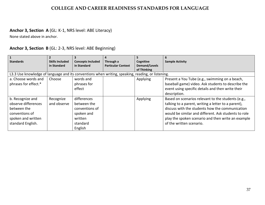# **Anchor 3, Section A** (GL: K-1, NRS level: ABE Literacy)

None stated above in anchor.

|                                                                                                   |                        |                          |                           |               | 6                                                    |
|---------------------------------------------------------------------------------------------------|------------------------|--------------------------|---------------------------|---------------|------------------------------------------------------|
| <b>Standards</b>                                                                                  | <b>Skills Included</b> | <b>Concepts Included</b> | Through a                 | Cognitive     | <b>Sample Activity</b>                               |
|                                                                                                   | in Standard            | in Standard              | <b>Particular Context</b> | Demand/Levels |                                                      |
|                                                                                                   |                        |                          |                           | of Thinking   |                                                      |
| L3.3 Use knowledge of language and its conventions when writing, speaking, reading, or listening. |                        |                          |                           |               |                                                      |
| a. Choose words and                                                                               | Choose                 | words and                |                           | Applying      | Present a You Tube (e.g., swimming on a beach,       |
| phrases for effect.*                                                                              |                        | phrases for              |                           |               | baseball game) video. Ask students to describe the   |
|                                                                                                   |                        | effect                   |                           |               | event using specific details and then write their    |
|                                                                                                   |                        |                          |                           |               | description.                                         |
| b. Recognize and                                                                                  | Recognize              | differences              |                           | Applying      | Based on scenarios relevant to the students (e.g.,   |
| observe differences                                                                               | and observe            | between the              |                           |               | talking to a parent, writing a letter to a parent),  |
| between the                                                                                       |                        | conventions of           |                           |               | discuss with the students how the communication      |
| conventions of                                                                                    |                        | spoken and               |                           |               | would be similar and different. Ask students to role |
| spoken and written                                                                                |                        | written                  |                           |               | play the spoken scenario and then write an example   |
| standard English.                                                                                 |                        | standard                 |                           |               | of the written scenario.                             |
|                                                                                                   |                        | English                  |                           |               |                                                      |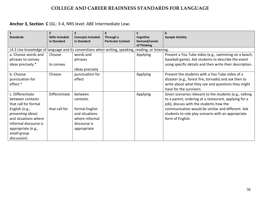## **Anchor 3, Section C** (GL: 3-4, NRS level: ABE Intermediate Low)

| $\mathbf{1}$<br><b>Standards</b>                                                                  | $\overline{2}$<br><b>Skills Included</b><br>in Standard | 3<br><b>Concepts Included</b><br>in Standard | 4<br>Through a<br><b>Particular Context</b> | 5<br>Cognitive<br><b>Demand/Levels</b> | 6<br><b>Sample Activity</b>                              |
|---------------------------------------------------------------------------------------------------|---------------------------------------------------------|----------------------------------------------|---------------------------------------------|----------------------------------------|----------------------------------------------------------|
|                                                                                                   |                                                         |                                              |                                             | of Thinking                            |                                                          |
| L4.3 Use knowledge of language and its conventions when writing, speaking, reading, or listening. |                                                         |                                              |                                             |                                        |                                                          |
| a. Choose words and                                                                               | Choose                                                  | words and                                    |                                             | Applying                               | Present a You Tube video (e.g., swimming on a beach,     |
| phrases to convey                                                                                 |                                                         | phrases                                      |                                             |                                        | baseball game). Ask students to describe the event       |
| ideas precisely.*                                                                                 | to convey                                               |                                              |                                             |                                        | using specific details and then write their description. |
|                                                                                                   |                                                         | ideas precisely                              |                                             |                                        |                                                          |
| b. Choose                                                                                         | Choose                                                  | punctuation for                              |                                             | Applying                               | Present the students with a You Tube video of a          |
| punctuation for                                                                                   |                                                         | effect                                       |                                             |                                        | disaster (e.g., forest fire, tornado) and ask then to    |
| effect.*                                                                                          |                                                         |                                              |                                             |                                        | write about what they see and questions they might       |
|                                                                                                   |                                                         |                                              |                                             |                                        | have for the survivors.                                  |
| c. Differentiate                                                                                  | Differentiate                                           | between                                      |                                             | Applying                               | Given scenarios relevant to the students (e.g., talking  |
| between contexts                                                                                  |                                                         | contexts                                     |                                             |                                        | to a parent, ordering at a restaurant, applying for a    |
| that call for formal                                                                              |                                                         |                                              |                                             |                                        | job), discuss with the students how the                  |
| English $(e.g.,$                                                                                  | that call for                                           | formal English                               |                                             |                                        | communication would be similar and different. Ask        |
| presenting ideas)                                                                                 |                                                         | and situations                               |                                             |                                        | students to role play scenario with an appropriate       |
| and situations where                                                                              |                                                         | where informal                               |                                             |                                        | form of English.                                         |
| informal discourse is                                                                             |                                                         | discourse is                                 |                                             |                                        |                                                          |
| appropriate (e.g.,                                                                                |                                                         | appropriate                                  |                                             |                                        |                                                          |
| small-group                                                                                       |                                                         |                                              |                                             |                                        |                                                          |
| discussion).                                                                                      |                                                         |                                              |                                             |                                        |                                                          |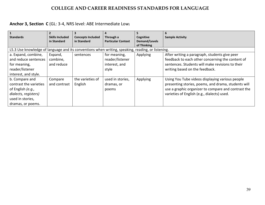## **Anchor 3, Section C** (GL: 3-4, NRS level: ABE Intermediate Low)

|                                                                                                   |                        |                          | 4                         |               | 6                                                   |
|---------------------------------------------------------------------------------------------------|------------------------|--------------------------|---------------------------|---------------|-----------------------------------------------------|
| <b>Standards</b>                                                                                  | <b>Skills Included</b> | <b>Concepts Included</b> | Through a                 | Cognitive     | <b>Sample Activity</b>                              |
|                                                                                                   | in Standard            | in Standard              | <b>Particular Context</b> | Demand/Levels |                                                     |
|                                                                                                   |                        |                          |                           | of Thinking   |                                                     |
| L5.3 Use knowledge of language and its conventions when writing, speaking, reading, or listening. |                        |                          |                           |               |                                                     |
| a. Expand, combine,                                                                               | Expand,                | sentences                | for meaning,              | Applying      | After writing a paragraph, students give peer       |
| and reduce sentences                                                                              | combine,               |                          | reader/listener           |               | feedback to each other concerning the content of    |
| for meaning,                                                                                      | and reduce             |                          | interest, and             |               | sentences. Students will make revisions to their    |
| reader/listener                                                                                   |                        |                          | style                     |               | writing based on the feedback.                      |
| interest, and style.                                                                              |                        |                          |                           |               |                                                     |
| b. Compare and                                                                                    | Compare                | the varieties of         | used in stories,          | Applying      | Using You Tube videos displaying various people     |
| contrast the varieties                                                                            | and contrast           | English                  | dramas, or                |               | presenting stories, poems, and drama, students will |
| of English (e.g.,                                                                                 |                        |                          | poems                     |               | use a graphic organizer to compare and contrast the |
| dialects, registers)                                                                              |                        |                          |                           |               | varieties of English (e.g., dialects) used.         |
| used in stories,                                                                                  |                        |                          |                           |               |                                                     |
| dramas, or poems.                                                                                 |                        |                          |                           |               |                                                     |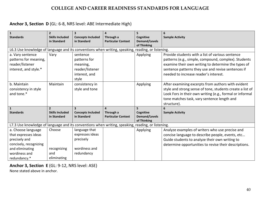## **Anchor 3, Section D** (GL: 6-8, NRS level: ABE Intermediate High)

| $\mathbf{1}$<br><b>Standards</b>                                                                  | $\overline{2}$<br><b>Skills Included</b> | 3<br><b>Concepts Included</b>                                                     | Through a                              | 5<br>Cognitive                                   | 6<br><b>Sample Activity</b>                                                                                                                                                                                                                                    |  |  |  |
|---------------------------------------------------------------------------------------------------|------------------------------------------|-----------------------------------------------------------------------------------|----------------------------------------|--------------------------------------------------|----------------------------------------------------------------------------------------------------------------------------------------------------------------------------------------------------------------------------------------------------------------|--|--|--|
|                                                                                                   | in Standard                              | in Standard                                                                       | <b>Particular Context</b>              | <b>Demand/Levels</b><br>of Thinking              |                                                                                                                                                                                                                                                                |  |  |  |
| L6.3 Use knowledge of language and its conventions when writing, speaking, reading, or listening. |                                          |                                                                                   |                                        |                                                  |                                                                                                                                                                                                                                                                |  |  |  |
| a. Vary sentence<br>patterns for meaning,<br>reader/listener<br>interest, and style.*             | Vary                                     | sentence<br>patterns for<br>meaning,<br>reader/listener<br>interest, and<br>style |                                        | Applying                                         | Provide students with a list of various sentence<br>patterns (e.g., simple, compound, complex). Students<br>examine their own writing to determine the types of<br>sentence patterns they use and revise sentences if<br>needed to increase reader's interest. |  |  |  |
| b. Maintain<br>consistency in style<br>and tone.*                                                 | Maintain                                 | consistency in<br>style and tone                                                  |                                        | Applying                                         | After examining excerpts from authors with evident<br>style and strong sense of tone, students create a list of<br>Look Fors in their own writing (e.g., formal or informal<br>tone matches task, vary sentence length and<br>structure).                      |  |  |  |
| $\mathbf{1}$                                                                                      | $\overline{2}$                           | $\overline{\mathbf{3}}$                                                           | $\overline{a}$                         | 5                                                |                                                                                                                                                                                                                                                                |  |  |  |
| <b>Standards</b>                                                                                  | <b>Skills Included</b><br>in Standard    | <b>Concepts Included</b><br>in Standard                                           | Through a<br><b>Particular Context</b> | Cognitive<br><b>Demand/Levels</b><br>of Thinking | <b>Sample Activity</b>                                                                                                                                                                                                                                         |  |  |  |
| L7.3 Use knowledge of language and its conventions when writing, speaking, reading, or listening. |                                          |                                                                                   |                                        |                                                  |                                                                                                                                                                                                                                                                |  |  |  |
| a. Choose language                                                                                | Choose                                   | language that                                                                     |                                        | Applying                                         | Analyze examples of writers who use precise and                                                                                                                                                                                                                |  |  |  |
| that expresses ideas                                                                              |                                          | expresses ideas                                                                   |                                        |                                                  | concise language to describe people, events, etc                                                                                                                                                                                                               |  |  |  |
| precisely and                                                                                     |                                          | precisely                                                                         |                                        |                                                  | Guide students to analyze their own writing to                                                                                                                                                                                                                 |  |  |  |
| concisely, recognizing                                                                            |                                          |                                                                                   |                                        |                                                  | determine opportunities to revise their descriptions.                                                                                                                                                                                                          |  |  |  |
| and eliminating                                                                                   | recognizing                              | wordiness and                                                                     |                                        |                                                  |                                                                                                                                                                                                                                                                |  |  |  |
| wordiness and                                                                                     | and                                      | redundancy                                                                        |                                        |                                                  |                                                                                                                                                                                                                                                                |  |  |  |
| redundancy.*                                                                                      | eliminating                              |                                                                                   |                                        |                                                  |                                                                                                                                                                                                                                                                |  |  |  |

**Anchor 3, Section E** (GL: 9-12, NRS level: ASE)

None stated above in anchor.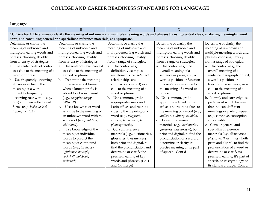Language

| $\overline{A}$                                                                                                                                     | $\overline{B}$                          | $\mathcal{C}$                       | D                              | E                              |  |  |  |  |
|----------------------------------------------------------------------------------------------------------------------------------------------------|-----------------------------------------|-------------------------------------|--------------------------------|--------------------------------|--|--|--|--|
| CCR Anchor 4: Determine or clarify the meaning of unknown and multiple-meaning words and phrases by using context clues, analyzing meaningful word |                                         |                                     |                                |                                |  |  |  |  |
| parts, and consulting general and specialized reference materials, as appropriate.                                                                 |                                         |                                     |                                |                                |  |  |  |  |
| Determine or clarify the                                                                                                                           | Determine or clarify the                | Determine or clarify the            | Determine or clarify the       | Determine or clarify the       |  |  |  |  |
| meaning of unknown and                                                                                                                             | meaning of unknown and                  | meaning of unknown and              | meaning of unknown and         | meaning of unknown and         |  |  |  |  |
| multiple-meaning words and                                                                                                                         | multiple-meaning words and              | multiple-meaning words and          | multiple-meaning words and     | multiple-meaning words and     |  |  |  |  |
| phrases, choosing flexibly                                                                                                                         | phrases, choosing flexibly              | phrases, choosing flexibly          | phrases, choosing flexibly     | phrases, choosing flexibly     |  |  |  |  |
| from an array of strategies.                                                                                                                       | from an array of strategies.            | from a range of strategies.         | from a range of strategies.    | from a range of strategies.    |  |  |  |  |
| a. Use sentence-level context                                                                                                                      | a. Use sentence-level context           | a. Use context (e.g.,               | a. Use context (e.g., the      | a. Use context (e.g., the      |  |  |  |  |
| as a clue to the meaning of a                                                                                                                      | as a clue to the meaning of             | definitions, examples,              | overall meaning of a           | overall meaning of a           |  |  |  |  |
| word or phrase.                                                                                                                                    | a word or phrase.                       | restatements, cause/effect          | sentence or paragraph; a       | sentence, paragraph, or text;  |  |  |  |  |
| b. Use frequently occurring                                                                                                                        | b. Determine the meaning                | relationships and                   | word's position or function    | a word's position or           |  |  |  |  |
| affixes as a clue to the                                                                                                                           | of the new word formed                  | comparisons in text) as a           | in a sentence) as a clue to    | function in a sentence) as a   |  |  |  |  |
| meaning of a word.                                                                                                                                 | when a known prefix is                  | clue to the meaning of a            | the meaning of a word or       | clue to the meaning of a       |  |  |  |  |
| c. Identify frequently                                                                                                                             | added to a known word                   | word or phrase.                     | phrase.                        | word or phrase.                |  |  |  |  |
| occurring root words (e.g.,                                                                                                                        | (e.g., happy/unhappy,                   | Use common, grade-<br>b.            | b. Use common, grade-          | b. Identify and correctly use  |  |  |  |  |
| look) and their inflectional                                                                                                                       | tell/retell).                           | appropriate Greek and               | appropriate Greek or Latin     | patterns of word changes       |  |  |  |  |
| forms (e.g., looks, looked,                                                                                                                        | Use a known root word<br>C <sub>1</sub> | Latin affixes and roots as          | affixes and roots as clues to  | that indicate different        |  |  |  |  |
| looking). (L.1.4)                                                                                                                                  | as a clue to the meaning of             | clues to the meaning of a           | the meaning of a word (e.g.,   | meanings or parts of speech    |  |  |  |  |
|                                                                                                                                                    | an unknown word with the                | word (e.g., telegraph,              | audience, auditory, audible).  | (e.g., conceive, conception,   |  |  |  |  |
|                                                                                                                                                    | same root (e.g., addition,              | autograph, photograph,              | Consult reference<br>c.        | conceivable).                  |  |  |  |  |
|                                                                                                                                                    | additional).                            | photosynthesis).                    | materials (e.g., dictionaries, | c. Consult general and         |  |  |  |  |
|                                                                                                                                                    | Use knowledge of the<br>$d_{\cdot}$     | Consult reference<br>C <sub>1</sub> | glossaries, thesauruses), both | specialized reference          |  |  |  |  |
|                                                                                                                                                    | meaning of individual                   | materials (e.g., dictionaries,      | print and digital, to find the | materials (e.g., dictionaries, |  |  |  |  |
|                                                                                                                                                    | words to predict the                    | glossaries, thesauruses),           | pronunciation of a word or     | glossaries, thesauruses), both |  |  |  |  |
|                                                                                                                                                    | meaning of compound                     | both print and digital, to          | determine or clarify its       | print and digital, to find the |  |  |  |  |
|                                                                                                                                                    | words (e.g., birdhouse,                 | find the pronunciation and          | precise meaning or its part    | pronunciation of a word or     |  |  |  |  |
|                                                                                                                                                    | lighthouse, housefly;                   | determine or clarify the            | of speech. Cont'd              | determine or clarify its       |  |  |  |  |
|                                                                                                                                                    | bookshelf, notebook,                    | precise meaning of key              |                                | precise meaning, it's part of  |  |  |  |  |
|                                                                                                                                                    | bookmark).                              | words and phrases. (L.4.4           |                                | speech, or its etymology or    |  |  |  |  |
|                                                                                                                                                    |                                         | and 5.4 merge)                      |                                | its standard usage. Cont'd     |  |  |  |  |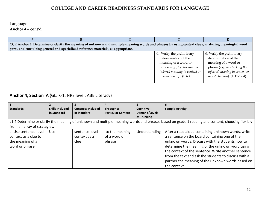#### Language **Anchor 4 – cont'd**

| CCR Anchor 4: Determine or clarify the meaning of unknown and multiple-meaning words and phrases by using context clues, analyzing meaningful word |  |                                                                                                |                                                                                                    |  |  |  |  |  |
|----------------------------------------------------------------------------------------------------------------------------------------------------|--|------------------------------------------------------------------------------------------------|----------------------------------------------------------------------------------------------------|--|--|--|--|--|
| parts, and consulting general and specialized reference materials, as appropriate.                                                                 |  |                                                                                                |                                                                                                    |  |  |  |  |  |
|                                                                                                                                                    |  | d. Verify the preliminary                                                                      | d. Verify the preliminary                                                                          |  |  |  |  |  |
|                                                                                                                                                    |  | determination of the<br>meaning of a word or                                                   | determination of the<br>meaning of a word or                                                       |  |  |  |  |  |
|                                                                                                                                                    |  | phrase (e.g., by checking the<br>inferred meaning in context or<br>in a dictionary). $(L.6.4)$ | phrase (e.g., by checking the<br>inferred meaning in context or<br>in a dictionary). $(L.11-12.4)$ |  |  |  |  |  |

# **Anchor 4, Section A** (GL: K-1, NRS level: ABE Literacy)

| $\overline{\phantom{a}}$                                                                                                                        |                        |                          |                           |               |                                                      |  |  |  |
|-------------------------------------------------------------------------------------------------------------------------------------------------|------------------------|--------------------------|---------------------------|---------------|------------------------------------------------------|--|--|--|
| <b>Standards</b>                                                                                                                                | <b>Skills Included</b> | <b>Concepts Included</b> | Through a                 | Cognitive     | <b>Sample Activity</b>                               |  |  |  |
|                                                                                                                                                 | in Standard            | in Standard              | <b>Particular Context</b> | Demand/Levels |                                                      |  |  |  |
|                                                                                                                                                 |                        |                          |                           | of Thinking   |                                                      |  |  |  |
| L1.4 Determine or clarify the meaning of unknown and multiple-meaning words and phrases based on grade 1 reading and content, choosing flexibly |                        |                          |                           |               |                                                      |  |  |  |
| from an array of strategies.                                                                                                                    |                        |                          |                           |               |                                                      |  |  |  |
| a. Use sentence-level                                                                                                                           | <b>Use</b>             | sentence-level           | to the meaning            | Understanding | After a read aloud containing unknown words, write   |  |  |  |
| context as a clue to                                                                                                                            |                        | context as a             | of a word or              |               | a sentence on the board containing one of the        |  |  |  |
| the meaning of a                                                                                                                                |                        | clue                     | phrase                    |               | unknown words. Discuss with the students how to      |  |  |  |
| word or phrase.                                                                                                                                 |                        |                          |                           |               | determine the meaning of the unknown word using      |  |  |  |
|                                                                                                                                                 |                        |                          |                           |               | the context of the sentence. Write another sentence  |  |  |  |
|                                                                                                                                                 |                        |                          |                           |               | from the text and ask the students to discuss with a |  |  |  |
|                                                                                                                                                 |                        |                          |                           |               | partner the meaning of the unknown words based on    |  |  |  |
|                                                                                                                                                 |                        |                          |                           |               | the context.                                         |  |  |  |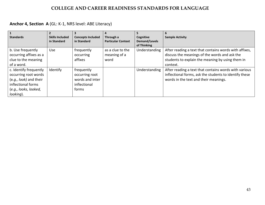## **Anchor 4, Section A** (GL: K-1, NRS level: ABE Literacy)

| $\mathbf{1}$           |                        |                          |                           |               |                                                        |
|------------------------|------------------------|--------------------------|---------------------------|---------------|--------------------------------------------------------|
| <b>Standards</b>       | <b>Skills Included</b> | <b>Concepts Included</b> | Through a                 | Cognitive     | <b>Sample Activity</b>                                 |
|                        | in Standard            | in Standard              | <b>Particular Context</b> | Demand/Levels |                                                        |
|                        |                        |                          |                           | of Thinking   |                                                        |
| b. Use frequently      | <b>Use</b>             | frequently               | as a clue to the          | Understanding | After reading a text that contains words with affixes, |
| occurring affixes as a |                        | occurring                | meaning of a              |               | discuss the meanings of the words and ask the          |
| clue to the meaning    |                        | affixes                  | word                      |               | students to explain the meaning by using them in       |
| of a word.             |                        |                          |                           |               | context.                                               |
| c. Identify frequently | Identify               | frequently               |                           | Understanding | After reading a text that contains words with various  |
| occurring root words   |                        | occurring root           |                           |               | inflectional forms, ask the students to identify these |
| (e.g., look) and their |                        | words and inter          |                           |               | words in the text and their meanings.                  |
| inflectional forms     |                        | inflectional             |                           |               |                                                        |
| (e.g., looks, looked,  |                        | forms                    |                           |               |                                                        |
| looking).              |                        |                          |                           |               |                                                        |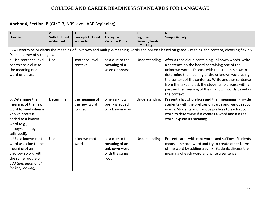| $\vert$ 1<br><b>Standards</b>                                                                                                                            | $\overline{2}$<br><b>Skills Included</b><br>in Standard | $\overline{\mathbf{3}}$<br><b>Concepts Included</b><br>in Standard | Through a<br><b>Particular Context</b>                                     | 5<br>Cognitive<br><b>Demand/Levels</b><br>of Thinking | <b>Sample Activity</b>                                                                                                                                                                                                                                                                                                                                                                        |
|----------------------------------------------------------------------------------------------------------------------------------------------------------|---------------------------------------------------------|--------------------------------------------------------------------|----------------------------------------------------------------------------|-------------------------------------------------------|-----------------------------------------------------------------------------------------------------------------------------------------------------------------------------------------------------------------------------------------------------------------------------------------------------------------------------------------------------------------------------------------------|
| from an array of strategies.                                                                                                                             |                                                         |                                                                    |                                                                            |                                                       | L2.4 Determine or clarify the meaning of unknown and multiple-meaning words and phrases based on grade 2 reading and content, choosing flexibly                                                                                                                                                                                                                                               |
| a. Use sentence-level<br>context as a clue to<br>the meaning of a<br>word or phrase                                                                      | Use                                                     | sentence-level<br>context                                          | as a clue to the<br>meaning of a<br>word or phrase                         | Understanding                                         | After a read aloud containing unknown words, write<br>a sentence on the board containing one of the<br>unknown words. Discuss with the students how to<br>determine the meaning of the unknown word using<br>the context of the sentence. Write another sentence<br>from the text and ask the students to discuss with a<br>partner the meaning of the unknown words based on<br>the context. |
| b. Determine the<br>meaning of the new<br>word formed when a<br>known prefix is<br>added to a known<br>word (e.g.,<br>happy/unhappy,<br>tell/retell).    | Determine                                               | the meaning of<br>the new word<br>formed                           | when a known<br>prefix is added<br>to a known word                         | Understanding                                         | Present a list of prefixes and their meanings. Provide<br>students with the prefixes on cards and various root<br>words. Students add various prefixes to each root<br>word to determine if it creates a word and if a real<br>word, explain its meaning.                                                                                                                                     |
| c. Use a known root<br>word as a clue to the<br>meaning of an<br>unknown word with<br>the same root (e.g.,<br>addition, additional,<br>looked, looking). | <b>Use</b>                                              | a known root<br>word                                               | as a clue to the<br>meaning of an<br>unknown word<br>with the same<br>root | Understanding                                         | Present cards with root words and suffixes. Students<br>choose one root word and try to create other forms<br>of the word by adding a suffix. Students discuss the<br>meaning of each word and write a sentence.                                                                                                                                                                              |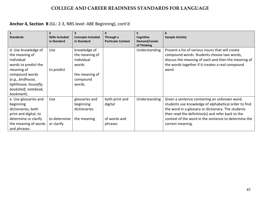| $\mathbf{1}$<br><b>Standards</b>                                                                                                                                                                | $\overline{2}$<br><b>Skills Included</b><br>in Standard | <b>Concepts Included</b><br>in Standard                                                       | 4<br>Through a<br><b>Particular Context</b>          | Cognitive<br><b>Demand/Levels</b> | <b>Sample Activity</b>                                                                                                                                                                                                                                                                      |
|-------------------------------------------------------------------------------------------------------------------------------------------------------------------------------------------------|---------------------------------------------------------|-----------------------------------------------------------------------------------------------|------------------------------------------------------|-----------------------------------|---------------------------------------------------------------------------------------------------------------------------------------------------------------------------------------------------------------------------------------------------------------------------------------------|
|                                                                                                                                                                                                 |                                                         |                                                                                               |                                                      | of Thinking                       |                                                                                                                                                                                                                                                                                             |
| d. Use knowledge of<br>the meaning of<br>individual<br>words to predict the<br>meaning of<br>compound words<br>(e.g., birdhouse,<br>lighthouse, housefly;<br>bookshelf, notebook,<br>bookmark). | <b>Use</b><br>to predict                                | knowledge of<br>the meaning of<br>individual<br>words<br>the meaning of<br>compound<br>words. |                                                      | Understanding                     | Present a list of various nouns that will create<br>compound words. Students choose two words,<br>discuss the meaning of each and then the meaning of<br>the words together if it creates a real compound<br>word.                                                                          |
| e. Use glossaries and<br>beginning<br>dictionaries, both<br>print and digital, to<br>determine or clarify<br>the meaning of words<br>and phrases.                                               | Use<br>to determine<br>or clarify                       | glossaries and<br>beginning<br>dictionaries<br>the meaning                                    | both print and<br>digital<br>of words and<br>phrases | Understanding                     | Given a sentence containing an unknown word,<br>students use knowledge of alphabetical order to find<br>the word in a glossary or dictionary. The students<br>then read the definition(s) and refer back to the<br>context of the word in the sentence to determine the<br>correct meaning. |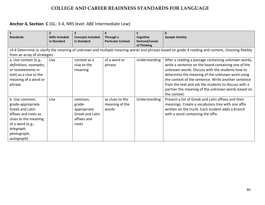## **Anchor 4, Section C** (GL: 3-4, NRS level: ABE Intermediate Low)

| $\vert$ 1                                                                                                                                                                | $\overline{2}$                                                                                                                                  |                                                                             | 4                                          | 5                                                |                                                                                                                                                                                                                                                                                                                                                                                                      |  |  |  |  |
|--------------------------------------------------------------------------------------------------------------------------------------------------------------------------|-------------------------------------------------------------------------------------------------------------------------------------------------|-----------------------------------------------------------------------------|--------------------------------------------|--------------------------------------------------|------------------------------------------------------------------------------------------------------------------------------------------------------------------------------------------------------------------------------------------------------------------------------------------------------------------------------------------------------------------------------------------------------|--|--|--|--|
| <b>Standards</b>                                                                                                                                                         | <b>Skills Included</b><br>in Standard                                                                                                           | <b>Concepts Included</b><br>in Standard                                     | Through a<br><b>Particular Context</b>     | Cognitive<br><b>Demand/Levels</b><br>of Thinking | <b>Sample Activity</b>                                                                                                                                                                                                                                                                                                                                                                               |  |  |  |  |
|                                                                                                                                                                          | L4.4 Determine or clarify the meaning of unknown and multiple-meaning words and phrases based on grade 4 reading and content, choosing flexibly |                                                                             |                                            |                                                  |                                                                                                                                                                                                                                                                                                                                                                                                      |  |  |  |  |
| from an array of strategies.                                                                                                                                             |                                                                                                                                                 |                                                                             |                                            |                                                  |                                                                                                                                                                                                                                                                                                                                                                                                      |  |  |  |  |
| a. Use context (e.g.,<br>definitions, examples,<br>or restatements in<br><i>text</i> ) as a clue to the<br>meaning of a word or<br>phrase.                               | Use                                                                                                                                             | context as a<br>clue to the<br>meaning                                      | of a word or<br>phrase                     | Understanding                                    | After a reading a passage containing unknown words,<br>write a sentence on the board containing one of the<br>unknown words. Discuss with the students how to<br>determine the meaning of the unknown word using<br>the context of the sentence. Write another sentence<br>from the text and ask the students to discuss with a<br>partner the meaning of the unknown words based on<br>the context. |  |  |  |  |
| b. Use common,<br>grade-appropriate<br>Greek and Latin<br>affixes and roots as<br>clues to the meaning<br>of a word $(e.g.,$<br>telegraph,<br>photograph,<br>autograph). | Use                                                                                                                                             | common,<br>grade-<br>appropriate<br>Greek and Latin<br>affixes and<br>roots | as clues to the<br>meaning of the<br>words | Understanding                                    | Present a list of Greek and Latin affixes and their<br>meanings. Create a vocabulary tree with one affix<br>written on the trunk. Each student adds a branch<br>with a word containing the affix.                                                                                                                                                                                                    |  |  |  |  |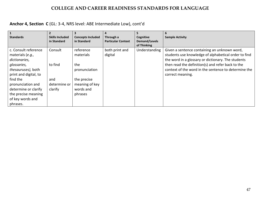## **Anchor 4, Section C** (GL: 3-4, NRS level: ABE Intermediate Low), cont'd

| <b>Standards</b>                                                                                                                                                                                                                        | <b>Skills Included</b>                               | <b>Concepts Included</b>                                                                                | Through a                 | Cognitive                    | <b>Sample Activity</b>                                                                                                                                                                                                                                                                      |
|-----------------------------------------------------------------------------------------------------------------------------------------------------------------------------------------------------------------------------------------|------------------------------------------------------|---------------------------------------------------------------------------------------------------------|---------------------------|------------------------------|---------------------------------------------------------------------------------------------------------------------------------------------------------------------------------------------------------------------------------------------------------------------------------------------|
|                                                                                                                                                                                                                                         | in Standard                                          | in Standard                                                                                             | <b>Particular Context</b> | Demand/Levels<br>of Thinking |                                                                                                                                                                                                                                                                                             |
| c. Consult reference<br>materials (e.g.,<br>dictionaries,<br>glossaries,<br>thesauruses), both<br>print and digital, to<br>find the<br>pronunciation and<br>determine or clarify<br>the precise meaning<br>of key words and<br>phrases. | Consult<br>to find<br>and<br>determine or<br>clarify | reference<br>materials<br>the<br>pronunciation<br>the precise<br>meaning of key<br>words and<br>phrases | both print and<br>digital | Understanding                | Given a sentence containing an unknown word,<br>students use knowledge of alphabetical order to find<br>the word in a glossary or dictionary. The students<br>then read the definition(s) and refer back to the<br>context of the word in the sentence to determine the<br>correct meaning. |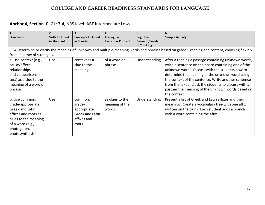## **Anchor 4, Section C** (GL: 3-4, NRS level: ABE Intermediate Low)

| $\mathbf{1}$                 | $\overline{2}$         | 3                        | 4                         | 5                    | 6                                                                                                                                               |
|------------------------------|------------------------|--------------------------|---------------------------|----------------------|-------------------------------------------------------------------------------------------------------------------------------------------------|
| <b>Standards</b>             | <b>Skills Included</b> | <b>Concepts Included</b> | Through a                 | Cognitive            | <b>Sample Activity</b>                                                                                                                          |
|                              | in Standard            | in Standard              | <b>Particular Context</b> | <b>Demand/Levels</b> |                                                                                                                                                 |
|                              |                        |                          |                           | of Thinking          |                                                                                                                                                 |
|                              |                        |                          |                           |                      | L5.4 Determine or clarify the meaning of unknown and multiple-meaning words and phrases based on grade 5 reading and content, choosing flexibly |
| from an array of strategies. |                        |                          |                           |                      |                                                                                                                                                 |
| a. Use context (e.g.,        | Use                    | context as a             | of a word or              | Understanding        | After a reading a passage containing unknown words,                                                                                             |
| cause/effect                 |                        | clue to the              | phrase                    |                      | write a sentence on the board containing one of the                                                                                             |
| relationships                |                        | meaning                  |                           |                      | unknown words. Discuss with the students how to                                                                                                 |
| and comparisons in           |                        |                          |                           |                      | determine the meaning of the unknown word using                                                                                                 |
| text) as a clue to the       |                        |                          |                           |                      | the context of the sentence. Write another sentence                                                                                             |
| meaning of a word or         |                        |                          |                           |                      | from the text and ask the students to discuss with a                                                                                            |
| phrase.                      |                        |                          |                           |                      | partner the meaning of the unknown words based on                                                                                               |
|                              |                        |                          |                           |                      | the context.                                                                                                                                    |
| b. Use common,               | Use                    | common,                  | as clues to the           | Understanding        | Present a list of Greek and Latin affixes and their                                                                                             |
| grade-appropriate            |                        | grade-                   | meaning of the            |                      | meanings. Create a vocabulary tree with one affix                                                                                               |
| Greek and Latin              |                        | appropriate              | words.                    |                      | written on the trunk. Each student adds a branch                                                                                                |
| affixes and roots as         |                        | Greek and Latin          |                           |                      | with a word containing the affix.                                                                                                               |
| clues to the meaning         |                        | affixes and              |                           |                      |                                                                                                                                                 |
| of a word (e.g.,             |                        | roots                    |                           |                      |                                                                                                                                                 |
| photograph,                  |                        |                          |                           |                      |                                                                                                                                                 |
| photosynthesis).             |                        |                          |                           |                      |                                                                                                                                                 |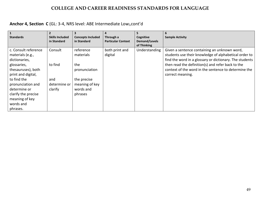## **Anchor 4, Section C** (GL: 3-4, NRS level: ABE Intermediate Low),cont'd

| <b>Standards</b>                                                                                                                                                                                                               | $\overline{2}$<br><b>Skills Included</b>             | <b>Concepts Included</b>                                                                                | 4<br>Through a            | 5<br>Cognitive               | 6<br><b>Sample Activity</b>                                                                                                                                                                                                                                                                       |
|--------------------------------------------------------------------------------------------------------------------------------------------------------------------------------------------------------------------------------|------------------------------------------------------|---------------------------------------------------------------------------------------------------------|---------------------------|------------------------------|---------------------------------------------------------------------------------------------------------------------------------------------------------------------------------------------------------------------------------------------------------------------------------------------------|
|                                                                                                                                                                                                                                | in Standard                                          | in Standard                                                                                             | <b>Particular Context</b> | Demand/Levels<br>of Thinking |                                                                                                                                                                                                                                                                                                   |
| c. Consult reference<br>materials (e.g.,<br>dictionaries,<br>glossaries,<br>thesauruses), both<br>print and digital,<br>to find the<br>pronunciation and<br>determine or<br>clarify the precise<br>meaning of key<br>words and | Consult<br>to find<br>and<br>determine or<br>clarify | reference<br>materials<br>the<br>pronunciation<br>the precise<br>meaning of key<br>words and<br>phrases | both print and<br>digital | Understanding                | Given a sentence containing an unknown word,<br>students use their knowledge of alphabetical order to<br>find the word in a glossary or dictionary. The students<br>then read the definition(s) and refer back to the<br>context of the word in the sentence to determine the<br>correct meaning. |
| phrases.                                                                                                                                                                                                                       |                                                      |                                                                                                         |                           |                              |                                                                                                                                                                                                                                                                                                   |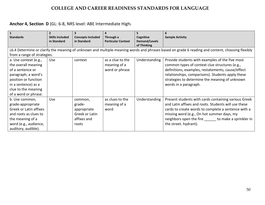## **Anchor 4, Section D** (GL: 6-8, NRS level: ABE Intermediate High)

| $\mathbf{1}$                | $\overline{2}$         |                          | 4                         | 5                    | 6                                                                                                                                               |
|-----------------------------|------------------------|--------------------------|---------------------------|----------------------|-------------------------------------------------------------------------------------------------------------------------------------------------|
| <b>Standards</b>            | <b>Skills Included</b> | <b>Concepts Included</b> | Through a                 | Cognitive            | <b>Sample Activity</b>                                                                                                                          |
|                             | in Standard            | in Standard              | <b>Particular Context</b> | <b>Demand/Levels</b> |                                                                                                                                                 |
|                             |                        |                          |                           | of Thinking          |                                                                                                                                                 |
|                             |                        |                          |                           |                      | L6.4 Determine or clarify the meaning of unknown and multiple-meaning words and phrases based on grade 6 reading and content, choosing flexibly |
| from a range of strategies. |                        |                          |                           |                      |                                                                                                                                                 |
| a. Use context (e.g.,       | <b>Use</b>             | context                  | as a clue to the          | Understanding        | Provide students with examples of the five most                                                                                                 |
| the overall meaning         |                        |                          | meaning of a              |                      | common types of context clue structures (e.g.,                                                                                                  |
| of a sentence or            |                        |                          | word or phrase            |                      | definitions, examples, restatements, cause/effect                                                                                               |
| paragraph; a word's         |                        |                          |                           |                      | relationships, comparisons). Students apply these                                                                                               |
| position or function        |                        |                          |                           |                      | strategies to determine the meaning of unknown                                                                                                  |
| in a sentence) as a         |                        |                          |                           |                      | words in a paragraph.                                                                                                                           |
| clue to the meaning         |                        |                          |                           |                      |                                                                                                                                                 |
| of a word or phrase.        |                        |                          |                           |                      |                                                                                                                                                 |
| b. Use common,              | Use                    | common,                  | as clues to the           | Understanding        | Present students with cards containing various Greek                                                                                            |
| grade-appropriate           |                        | grade-                   | meaning of a              |                      | and Latin affixes and roots. Students will use these                                                                                            |
| Greek or Latin affixes      |                        | appropriate              | word                      |                      | cards to create words to complete a sentence with a                                                                                             |
| and roots as clues to       |                        | Greek or Latin           |                           |                      | missing word (e.g., On hot summer days, my                                                                                                      |
| the meaning of a            |                        | affixes and              |                           |                      | neighbors open the fire to make a sprinkler in                                                                                                  |
| word (e.g., audience,       |                        | roots                    |                           |                      | the street. hydrant).                                                                                                                           |
| auditory, audible).         |                        |                          |                           |                      |                                                                                                                                                 |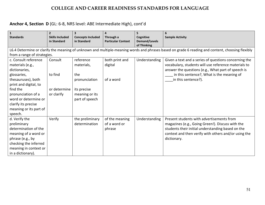## **Anchor 4, Section D** (GL: 6-8, NRS level: ABE Intermediate High), cont'd

| $\mathbf{1}$<br><b>Standards</b> | $\overline{2}$<br><b>Skills Included</b><br>in Standard | 3<br><b>Concepts Included</b><br>in Standard | 4<br>Through a<br><b>Particular Context</b> | 5<br>Cognitive<br><b>Demand/Levels</b><br>of Thinking | 6<br><b>Sample Activity</b>                                                                                                                     |
|----------------------------------|---------------------------------------------------------|----------------------------------------------|---------------------------------------------|-------------------------------------------------------|-------------------------------------------------------------------------------------------------------------------------------------------------|
|                                  |                                                         |                                              |                                             |                                                       | L6.4 Determine or clarify the meaning of unknown and multiple-meaning words and phrases based on grade 6 reading and content, choosing flexibly |
| from a range of strategies.      |                                                         |                                              |                                             |                                                       |                                                                                                                                                 |
| c. Consult reference             | Consult                                                 | reference                                    | both print and                              | Understanding                                         | Given a text and a series of questions concerning the                                                                                           |
| materials (e.g.,                 |                                                         | materials,                                   | digital                                     |                                                       | vocabulary, students will use reference materials to                                                                                            |
| dictionaries,                    |                                                         |                                              |                                             |                                                       | answer the questions (e.g., What part of speech is                                                                                              |
| glossaries,                      | to find                                                 | the                                          |                                             |                                                       | in this sentence?, What is the meaning of                                                                                                       |
| thesauruses), both               |                                                         | pronunciation                                | of a word                                   |                                                       | in this sentence?).                                                                                                                             |
| print and digital, to            |                                                         |                                              |                                             |                                                       |                                                                                                                                                 |
| find the                         | or determine                                            | its precise                                  |                                             |                                                       |                                                                                                                                                 |
| pronunciation of a               | or clarify                                              | meaning or its                               |                                             |                                                       |                                                                                                                                                 |
| word or determine or             |                                                         | part of speech                               |                                             |                                                       |                                                                                                                                                 |
| clarify its precise              |                                                         |                                              |                                             |                                                       |                                                                                                                                                 |
| meaning or its part of           |                                                         |                                              |                                             |                                                       |                                                                                                                                                 |
| speech.                          |                                                         |                                              |                                             |                                                       |                                                                                                                                                 |
| d. Verify the                    | Verify                                                  | the preliminary                              | of the meaning                              | Understanding                                         | Present students with advertisements from                                                                                                       |
| preliminary                      |                                                         | determination                                | of a word or                                |                                                       | magazines (e.g., Going Green!). Discuss with the                                                                                                |
| determination of the             |                                                         |                                              | phrase                                      |                                                       | students their initial understanding based on the                                                                                               |
| meaning of a word or             |                                                         |                                              |                                             |                                                       | context and then verify with others and/or using the                                                                                            |
| phrase (e.g., by                 |                                                         |                                              |                                             |                                                       | dictionary.                                                                                                                                     |
| checking the inferred            |                                                         |                                              |                                             |                                                       |                                                                                                                                                 |
| meaning in context or            |                                                         |                                              |                                             |                                                       |                                                                                                                                                 |
| in a dictionary).                |                                                         |                                              |                                             |                                                       |                                                                                                                                                 |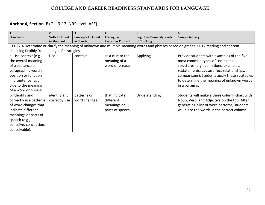## **Anchor 4, Section E** (GL: 9-12, NRS level: ASE)

| $\mathbf{1}$                                  |                        |                          | 4                         |                                | 6                                                                                                                                      |
|-----------------------------------------------|------------------------|--------------------------|---------------------------|--------------------------------|----------------------------------------------------------------------------------------------------------------------------------------|
| <b>Standards</b>                              | <b>Skills Included</b> | <b>Concepts Included</b> | Through a                 | <b>Cognitive Demand/Levels</b> | <b>Sample Activity</b>                                                                                                                 |
|                                               | in Standard            | in Standard              | <b>Particular Context</b> | of Thinking                    |                                                                                                                                        |
|                                               |                        |                          |                           |                                | L11-12.4 Determine or clarify the meaning of unknown and multiple-meaning words and phrases based on grades 11-12 reading and content, |
| choosing flexibly from a range of strategies. |                        |                          |                           |                                |                                                                                                                                        |
| a. Use context (e.g.,                         | Use                    | context                  | as a clue to the          | Applying                       | Provide students with examples of the five                                                                                             |
| the overall meaning                           |                        |                          | meaning of a              |                                | most common types of context clue                                                                                                      |
| of a sentence or                              |                        |                          | word or phrase            |                                | structures (e.g., definitions, examples,                                                                                               |
| paragraph; a word's                           |                        |                          |                           |                                | restatements, cause/effect relationships,                                                                                              |
| position or function                          |                        |                          |                           |                                | comparisons). Students apply these strategies                                                                                          |
| in a sentence) as a                           |                        |                          |                           |                                | to determine the meaning of unknown words                                                                                              |
| clue to the meaning                           |                        |                          |                           |                                | in a paragraph.                                                                                                                        |
| of a word or phrase.                          |                        |                          |                           |                                |                                                                                                                                        |
| b. Identify and                               | identify and           | patterns or              | that indicate             | Understanding                  | Students will make a three column chart with                                                                                           |
| correctly use patterns                        | correctly use          | word changes             | different                 |                                | Noun, Verb, and Adjective on the top. After                                                                                            |
| of word changes that                          |                        |                          | meanings or               |                                | generating a list of word patterns, students                                                                                           |
| indicate different                            |                        |                          | parts of speech           |                                | will place the words in the correct column.                                                                                            |
| meanings or parts of                          |                        |                          |                           |                                |                                                                                                                                        |
| speech (e.g.,                                 |                        |                          |                           |                                |                                                                                                                                        |
| conceive, conception,                         |                        |                          |                           |                                |                                                                                                                                        |
| conceivable).                                 |                        |                          |                           |                                |                                                                                                                                        |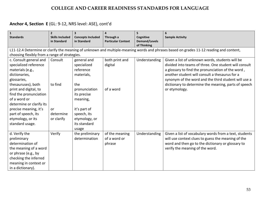## **Anchor 4, Section E** (GL: 9-12, NRS level: ASE), cont'd

| $\mathbf{1}$<br><b>Standards</b>                                                                                                                                                                                                                                                                                 | $\overline{2}$<br><b>Skills Included</b><br>in Standard                                                                                                                                                | <b>Concepts Included</b><br>in Standard                                                                                                                                           | Through a<br><b>Particular Context</b>   | 5<br>Cognitive<br><b>Demand/Levels</b> | <b>Sample Activity</b>                                                                                                                                                                                                                                                                                                                           |  |  |  |  |  |
|------------------------------------------------------------------------------------------------------------------------------------------------------------------------------------------------------------------------------------------------------------------------------------------------------------------|--------------------------------------------------------------------------------------------------------------------------------------------------------------------------------------------------------|-----------------------------------------------------------------------------------------------------------------------------------------------------------------------------------|------------------------------------------|----------------------------------------|--------------------------------------------------------------------------------------------------------------------------------------------------------------------------------------------------------------------------------------------------------------------------------------------------------------------------------------------------|--|--|--|--|--|
|                                                                                                                                                                                                                                                                                                                  | of Thinking<br>L11-12.4 Determine or clarify the meaning of unknown and multiple-meaning words and phrases based on grades 11-12 reading and content,<br>choosing flexibly from a range of strategies. |                                                                                                                                                                                   |                                          |                                        |                                                                                                                                                                                                                                                                                                                                                  |  |  |  |  |  |
| c. Consult general and<br>specialized reference<br>materials (e.g.,<br>dictionaries,<br>glossaries,<br>thesauruses), both<br>print and digital, to<br>find the pronunciation<br>of a word or<br>determine or clarify its<br>precise meaning, it's<br>part of speech, its<br>etymology, or its<br>standard usage. | Consult<br>to find<br>or<br>determine<br>or clarify                                                                                                                                                    | general and<br>specialized<br>reference<br>materials,<br>the<br>pronunciation<br>its precise<br>meaning,<br>it's part of<br>speech, its<br>etymology, or<br>its standard<br>usage | both print and<br>digital<br>of a word   | Understanding                          | Given a list of unknown words, students will be<br>divided into teams of three. One student will consult<br>a glossary to find the pronunciation of the word,<br>another student will consult a thesaurus for a<br>synonym of the word and the third student will use a<br>dictionary to determine the meaning, parts of speech<br>or etymology. |  |  |  |  |  |
| d. Verify the<br>preliminary<br>determination of<br>the meaning of a word<br>or phrase (e.g., by<br>checking the inferred<br>meaning in context or<br>in a dictionary).                                                                                                                                          | Verify                                                                                                                                                                                                 | the preliminary<br>determination                                                                                                                                                  | of the meaning<br>of a word or<br>phrase | Understanding                          | Given a list of vocabulary words from a text, students<br>will use context clues to guess the meaning of the<br>word and then go to the dictionary or glossary to<br>verify the meaning of the word.                                                                                                                                             |  |  |  |  |  |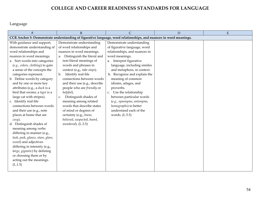Language

| A                                 | B                                                                                                                 | $\mathsf{C}$                  | D | E |
|-----------------------------------|-------------------------------------------------------------------------------------------------------------------|-------------------------------|---|---|
|                                   | CCR Anchor 5: Demonstrate understanding of figurative language, word relationships, and nuances in word meanings. |                               |   |   |
| With guidance and support,        | Demonstrate understanding                                                                                         | Demonstrate understanding     |   |   |
| demonstrate understanding of      | of word relationships and                                                                                         | of figurative language, word  |   |   |
| word relationships and            | nuances in word meanings.                                                                                         | relationships, and nuances in |   |   |
| nuances in word meanings.         | a. Distinguish the literal and                                                                                    | word meanings.                |   |   |
| a. Sort words into categories     | non-literal meanings of                                                                                           | Interpret figurative<br>a.    |   |   |
| (e.g., colors, clothing) to gain  | words and phrases in                                                                                              | language, including similes   |   |   |
| a sense of the concepts the       | context (e.g., take steps).                                                                                       | and metaphors, in context.    |   |   |
| categories represent.             | Identify real-life<br>b.                                                                                          | b. Recognize and explain the  |   |   |
| b. Define words by category       | connections between words                                                                                         | meaning of common             |   |   |
| and by one or more key            | and their use (e.g., describe                                                                                     | idioms, adages, and           |   |   |
| attributes (e.g., a duck is a     | people who are friendly or                                                                                        | proverbs.                     |   |   |
| bird that swims; a tiger is a     | helpful).                                                                                                         | c. Use the relationship       |   |   |
| large cat with stripes).          | Distinguish shades of<br>c.                                                                                       | between particular words      |   |   |
| c. Identify real-life             | meaning among related                                                                                             | (e.g., synonyms, antonyms,    |   |   |
| connections between words         | words that describe states                                                                                        | homographs) to better         |   |   |
| and their use (e.g., note         | of mind or degrees of                                                                                             | understand each of the        |   |   |
| places at home that are           | certainty (e.g., knew,                                                                                            | words. (L.5.5)                |   |   |
| $cozy$ ).                         | believed, suspected, heard,                                                                                       |                               |   |   |
| d. Distinguish shades of          | $wondered$ ). (L.3.5)                                                                                             |                               |   |   |
| meaning among verbs               |                                                                                                                   |                               |   |   |
| differing in manner (e.g.,        |                                                                                                                   |                               |   |   |
| look, peek, glance, stare, glare, |                                                                                                                   |                               |   |   |
| scowl) and adjectives             |                                                                                                                   |                               |   |   |
| differing in intensity (e.g.,     |                                                                                                                   |                               |   |   |
| large, gigantic) by defining      |                                                                                                                   |                               |   |   |
| or choosing them or by            |                                                                                                                   |                               |   |   |
| acting out the meanings.          |                                                                                                                   |                               |   |   |
| (L.1.5)                           |                                                                                                                   |                               |   |   |
|                                   |                                                                                                                   |                               |   |   |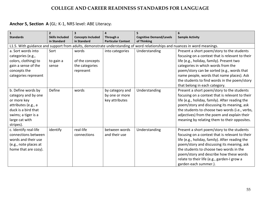## **Anchor 5, Section A** (GL: K-1, NRS level: ABE Literacy)

| $\mathbf{1}$                                                                                                               | $\overline{2}$                        |                                         |                                        | 5                              | 6                                               |  |  |  |
|----------------------------------------------------------------------------------------------------------------------------|---------------------------------------|-----------------------------------------|----------------------------------------|--------------------------------|-------------------------------------------------|--|--|--|
| <b>Standards</b>                                                                                                           | <b>Skills Included</b><br>in Standard | <b>Concepts Included</b><br>in Standard | Through a<br><b>Particular Context</b> | <b>Cognitive Demand/Levels</b> | <b>Sample Activity</b>                          |  |  |  |
| of Thinking                                                                                                                |                                       |                                         |                                        |                                |                                                 |  |  |  |
| L1.5. With guidance and support from adults, demonstrate understanding of word relationships and nuances in word meanings. |                                       |                                         |                                        |                                |                                                 |  |  |  |
| a. Sort words into                                                                                                         | Sort                                  | words                                   | into categories                        | Understanding                  | Present a short poem/story to the students      |  |  |  |
| categories (e.g.,                                                                                                          |                                       |                                         |                                        |                                | focusing on a context that is relevant to their |  |  |  |
| colors, clothing) to                                                                                                       | to gain a                             | of the concepts                         |                                        |                                | life (e.g., holiday, family). Present two       |  |  |  |
| gain a sense of the                                                                                                        | sense                                 | the categories                          |                                        |                                | categories in which words from the              |  |  |  |
| concepts the                                                                                                               |                                       | represent                               |                                        |                                | poem/story can be sorted (e.g., words that      |  |  |  |
| categories represent                                                                                                       |                                       |                                         |                                        |                                | name people, words that name places). Ask       |  |  |  |
|                                                                                                                            |                                       |                                         |                                        |                                | the students to find words in the poem/story    |  |  |  |
|                                                                                                                            |                                       |                                         |                                        |                                | that belong in each category.                   |  |  |  |
| b. Define words by                                                                                                         | Define                                | words                                   | by category and                        | Understanding                  | Present a short poem/story to the students      |  |  |  |
| category and by one                                                                                                        |                                       |                                         | by one or more                         |                                | focusing on a context that is relevant to their |  |  |  |
| or more key                                                                                                                |                                       |                                         | key attributes                         |                                | life (e.g., holiday, family). After reading the |  |  |  |
| attributes (e.g., a                                                                                                        |                                       |                                         |                                        |                                | poem/story and discussing its meaning, ask      |  |  |  |
| duck is a bird that                                                                                                        |                                       |                                         |                                        |                                | the students to choose two words (i.e., verbs,  |  |  |  |
| swims; a tiger is a                                                                                                        |                                       |                                         |                                        |                                | adjectives) from the poem and explain their     |  |  |  |
| large cat with                                                                                                             |                                       |                                         |                                        |                                | meaning by relating them to their opposites.    |  |  |  |
| stripes).                                                                                                                  |                                       |                                         |                                        |                                |                                                 |  |  |  |
| c. Identify real-life                                                                                                      | identify                              | real-life                               | between words                          | Understanding                  | Present a short poem/story to the students      |  |  |  |
| connections between                                                                                                        |                                       | connections                             | and their use                          |                                | focusing on a context that is relevant to their |  |  |  |
| words and their use                                                                                                        |                                       |                                         |                                        |                                | life (e.g., holiday, family). After reading the |  |  |  |
| (e.g., note places at                                                                                                      |                                       |                                         |                                        |                                | poem/story and discussing its meaning, ask      |  |  |  |
| home that are cozy).                                                                                                       |                                       |                                         |                                        |                                | the students to choose two words in the         |  |  |  |
|                                                                                                                            |                                       |                                         |                                        |                                | poem/story and describe how these words         |  |  |  |
|                                                                                                                            |                                       |                                         |                                        |                                | relate to their life (e.g., garden-I grow a     |  |  |  |
|                                                                                                                            |                                       |                                         |                                        |                                | garden each summer.).                           |  |  |  |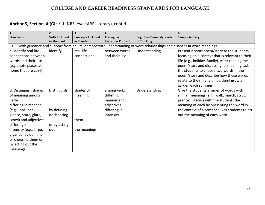# **Anchor 5, Section A** (GL: K-1, NRS level: ABE Literacy), cont'd

| $\mathbf{1}$            | $\overline{2}$                                                                                                                                                                                       |                          | $\Delta$      |                                | 6                                               |  |  |  |
|-------------------------|------------------------------------------------------------------------------------------------------------------------------------------------------------------------------------------------------|--------------------------|---------------|--------------------------------|-------------------------------------------------|--|--|--|
| <b>Standards</b>        | <b>Skills Included</b>                                                                                                                                                                               | <b>Concepts Included</b> | Through a     | <b>Cognitive Demand/Levels</b> | <b>Sample Activity</b>                          |  |  |  |
|                         | in Standard<br>in Standard<br><b>Particular Context</b><br>of Thinking<br>L1.5. With guidance and support from adults, demonstrate understanding of word relationships and nuances in word meanings. |                          |               |                                |                                                 |  |  |  |
|                         |                                                                                                                                                                                                      |                          |               |                                |                                                 |  |  |  |
| c. Identify real-life   | identify                                                                                                                                                                                             | real-life                | between words | Understanding                  | Present a short poem/story to the students      |  |  |  |
| connections between     |                                                                                                                                                                                                      | connections              | and their use |                                | focusing on a context that is relevant to their |  |  |  |
| words and their use     |                                                                                                                                                                                                      |                          |               |                                | life (e.g., holiday, family). After reading the |  |  |  |
| (e.g., note places at   |                                                                                                                                                                                                      |                          |               |                                | poem/story and discussing its meaning, ask      |  |  |  |
| home that are cozy).    |                                                                                                                                                                                                      |                          |               |                                | the students to choose two words in the         |  |  |  |
|                         |                                                                                                                                                                                                      |                          |               |                                | poem/story and describe how these words         |  |  |  |
|                         |                                                                                                                                                                                                      |                          |               |                                | relate to their life (e.g., garden-I grow a     |  |  |  |
|                         |                                                                                                                                                                                                      |                          |               |                                | garden each summer.).                           |  |  |  |
| d. Distinguish shades   | Distinguish                                                                                                                                                                                          | shades of                | among verbs   | Understanding                  | Give the students a series of words with        |  |  |  |
| of meaning among        |                                                                                                                                                                                                      | meaning                  | differing in  |                                | similar meanings (e.g., walk, march, strut,     |  |  |  |
| verbs                   |                                                                                                                                                                                                      |                          | manner and    |                                | prance). Discuss with the students the          |  |  |  |
| differing in manner     |                                                                                                                                                                                                      |                          | adjectives    |                                | meaning of each by presenting the word in       |  |  |  |
| (e.g., look, peek,      | by defining                                                                                                                                                                                          |                          | differing in  |                                | the context of a sentence. Ask students to act  |  |  |  |
| glance, stare, glare,   | or choosing                                                                                                                                                                                          |                          | intensity     |                                | out the meaning of each word.                   |  |  |  |
| scowl) and adjectives   |                                                                                                                                                                                                      | them                     |               |                                |                                                 |  |  |  |
| differing in            | or by acting                                                                                                                                                                                         |                          |               |                                |                                                 |  |  |  |
| intensity (e.g., large, | out                                                                                                                                                                                                  | the meanings             |               |                                |                                                 |  |  |  |
| gigantic) by defining   |                                                                                                                                                                                                      |                          |               |                                |                                                 |  |  |  |
| or choosing them or     |                                                                                                                                                                                                      |                          |               |                                |                                                 |  |  |  |
| by acting out the       |                                                                                                                                                                                                      |                          |               |                                |                                                 |  |  |  |
| meanings.               |                                                                                                                                                                                                      |                          |               |                                |                                                 |  |  |  |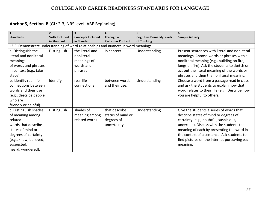| $\mathbf{1}$                                                                        | $\overline{2}$         |                          | 4                         |                                | 6                                              |
|-------------------------------------------------------------------------------------|------------------------|--------------------------|---------------------------|--------------------------------|------------------------------------------------|
| <b>Standards</b>                                                                    | <b>Skills Included</b> | <b>Concepts Included</b> | Through a                 | <b>Cognitive Demand/Levels</b> | <b>Sample Activity</b>                         |
|                                                                                     | in Standard            | in Standard              | <b>Particular Context</b> | of Thinking                    |                                                |
| L3.5. Demonstrate understanding of word relationships and nuances in word meanings. |                        |                          |                           |                                |                                                |
| a. Distinguish the                                                                  | Distinguish            | the literal and          | in context                | Understanding                  | Present sentences with literal and nonliteral  |
| literal and nonliteral                                                              |                        | nonliteral               |                           |                                | meanings. Choose words or phrases with a       |
| meanings                                                                            |                        | meanings of              |                           |                                | nonliteral meaning (e.g., building on fire,    |
| of words and phrases                                                                |                        | words and                |                           |                                | lungs on fire). Ask the students to sketch or  |
| in context (e.g., take                                                              |                        | phrases                  |                           |                                | act out the literal meaning of the words or    |
| steps).                                                                             |                        |                          |                           |                                | phrases and then the nonliteral meaning.       |
| b. Identify real-life                                                               | Identify               | real-life                | between words             | Understanding                  | Choose a word from a passage read in class     |
| connections between                                                                 |                        | connections              | and their use.            |                                | and ask the students to explain how that       |
| words and their use                                                                 |                        |                          |                           |                                | word relates to their life (e.g., Describe how |
| (e.g., describe people                                                              |                        |                          |                           |                                | you are helpful to others.).                   |
| who are                                                                             |                        |                          |                           |                                |                                                |
| friendly or helpful).                                                               |                        |                          |                           |                                |                                                |
| c. Distinguish shades                                                               | Distinguish            | shades of                | that describe             | Understanding                  | Give the students a series of words that       |
| of meaning among                                                                    |                        | meaning among            | status of mind or         |                                | describe states of mind or degrees of          |
| related                                                                             |                        | related words            | degrees of                |                                | certainty (e.g., doubtful, suspicious,         |
| words that describe                                                                 |                        |                          | uncertainty               |                                | uncertain). Discuss with the students the      |
| states of mind or                                                                   |                        |                          |                           |                                | meaning of each by presenting the word in      |
| degrees of certainty                                                                |                        |                          |                           |                                | the context of a sentence. Ask students to     |
| (e.g., knew, believed,                                                              |                        |                          |                           |                                | find pictures on the internet portraying each  |
| suspected,                                                                          |                        |                          |                           |                                | meaning.                                       |
| heard, wondered).                                                                   |                        |                          |                           |                                |                                                |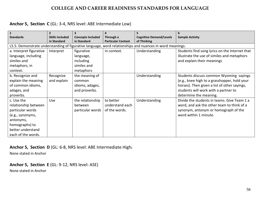#### **Anchor 5, Section C** (GL: 3-4, NRS level: ABE Intermediate Low)

| $\mathbf{1}$                                                                                                                                         | $\overline{2}$                        | $\overline{\mathbf{3}}$                                      | 4                                             |                                               | 6                                                                                                                                                                                                         |  |  |
|------------------------------------------------------------------------------------------------------------------------------------------------------|---------------------------------------|--------------------------------------------------------------|-----------------------------------------------|-----------------------------------------------|-----------------------------------------------------------------------------------------------------------------------------------------------------------------------------------------------------------|--|--|
| <b>Standards</b>                                                                                                                                     | <b>Skills Included</b><br>in Standard | <b>Concepts Included</b><br>in Standard                      | Through a<br><b>Particular Context</b>        | <b>Cognitive Demand/Levels</b><br>of Thinking | <b>Sample Activity</b>                                                                                                                                                                                    |  |  |
| L5.5. Demonstrate understanding of figurative language, word relationships and nuances in word meanings.                                             |                                       |                                                              |                                               |                                               |                                                                                                                                                                                                           |  |  |
| a. Interpret figurative<br>language, including                                                                                                       | Interpret                             | figurative<br>language,                                      | in context.                                   | Understanding                                 | Students find song lyrics on the Internet that<br>illustrate the use of similes and metaphors                                                                                                             |  |  |
| similes and                                                                                                                                          |                                       | including                                                    |                                               |                                               | and explain their meanings                                                                                                                                                                                |  |  |
| metaphors, in<br>context.                                                                                                                            |                                       | similes and<br>metaphors                                     |                                               |                                               |                                                                                                                                                                                                           |  |  |
| b. Recognize and<br>explain the meaning<br>of common idioms,<br>adages, and<br>proverbs.                                                             | Recognize<br>and explain              | the meaning of<br>common<br>idioms, adages,<br>and proverbs. |                                               | Understanding                                 | Students discuss common Wyoming sayings<br>(e.g., knee high to a grasshopper, hold your<br>horses). Then given a list of other sayings,<br>students will work with a partner to<br>determine the meaning. |  |  |
| c. Use the<br>relationship between<br>particular words<br>(e.g., synonyms,<br>antonyms,<br>homographs) to<br>better understand<br>each of the words. | Use                                   | the relationship<br>between<br>particular words              | to better<br>understand each<br>of the words. | Understanding                                 | Divide the students in teams. Give Team 1 a<br>word, and ask the other team to think of a<br>synonym, antonym or homograph of the<br>word within 1 minute.                                                |  |  |

**Anchor 5, Section D** (GL: 6-8, NRS level: ABE Intermediate High)

None stated in Anchor

**Anchor 5, Section E** (GL: 9-12, NRS level: ASE)

None stated in Anchor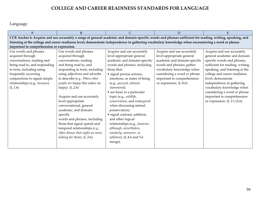Language

| A                                                                                                                                                         | <sub>B</sub>                              |                                                                                                                                                    | D                            | E                                |  |  |  |  |  |
|-----------------------------------------------------------------------------------------------------------------------------------------------------------|-------------------------------------------|----------------------------------------------------------------------------------------------------------------------------------------------------|------------------------------|----------------------------------|--|--|--|--|--|
| CCR Anchor 6: Acquire and use accurately a range of general academic and domain-specific words and phrases sufficient for reading, writing, speaking, and |                                           |                                                                                                                                                    |                              |                                  |  |  |  |  |  |
|                                                                                                                                                           |                                           | listening at the college and career readiness level; demonstrate independence in gathering vocabulary knowledge when encountering a word or phrase |                              |                                  |  |  |  |  |  |
|                                                                                                                                                           | important to comprehension or expression. |                                                                                                                                                    |                              |                                  |  |  |  |  |  |
| Use words and phrases                                                                                                                                     | Use words and phrases                     | Acquire and use accurately                                                                                                                         | Acquire and use accurately   | Acquire and use accurately       |  |  |  |  |  |
| acquired through                                                                                                                                          | acquired through                          | level-appropriate general                                                                                                                          | level-appropriate general    | general academic and domain      |  |  |  |  |  |
| conversations, reading and                                                                                                                                | conversations, reading                    | academic and domain-specific                                                                                                                       | academic and domain-specific | specific words and phrases,      |  |  |  |  |  |
| being read to, and responding                                                                                                                             | and being read to, and                    | words and phrases, including                                                                                                                       | words and phrases; gather    | sufficient for reading, writing, |  |  |  |  |  |
| to texts, including using                                                                                                                                 | responding to texts, including            | those that:                                                                                                                                        | vocabulary knowledge when    | speaking, and listening at the   |  |  |  |  |  |
| frequently occurring                                                                                                                                      | using adjectives and adverbs              | • signal precise actions,                                                                                                                          | considering a word or phrase | college and career readiness     |  |  |  |  |  |
| conjunctions to signal simple                                                                                                                             | to describe (e.g., When other             | emotions, or states of being                                                                                                                       | important to comprehension   | level; demonstrate               |  |  |  |  |  |
| relationships (e.g., because).                                                                                                                            | people are happy that makes me            | (e.g., quizzed, whined,                                                                                                                            | or expression. (L.8.6)       | independence in gathering        |  |  |  |  |  |
| (L.1.6)                                                                                                                                                   | happy). $(L.2.6)$                         | stammered).                                                                                                                                        |                              | vocabulary knowledge when        |  |  |  |  |  |
|                                                                                                                                                           |                                           | • are basic to a particular                                                                                                                        |                              | considering a word or phrase     |  |  |  |  |  |
|                                                                                                                                                           | Acquire and use accurately                | topic (e.g., wildlife,                                                                                                                             |                              | important to comprehension       |  |  |  |  |  |
|                                                                                                                                                           | level-appropriate                         | conservation, and endangered                                                                                                                       |                              | or expression. (L.11-12.6)       |  |  |  |  |  |
|                                                                                                                                                           | conversational, general                   | when discussing animal                                                                                                                             |                              |                                  |  |  |  |  |  |
|                                                                                                                                                           | academic, and domain-                     | preservation).                                                                                                                                     |                              |                                  |  |  |  |  |  |
|                                                                                                                                                           | specific                                  | · signal contrast, addition,                                                                                                                       |                              |                                  |  |  |  |  |  |
|                                                                                                                                                           | words and phrases, including              | and other logical                                                                                                                                  |                              |                                  |  |  |  |  |  |
|                                                                                                                                                           | those that signal spatial and             | relationships (e.g., however,                                                                                                                      |                              |                                  |  |  |  |  |  |
|                                                                                                                                                           | temporal relationships (e.g.,             | although, nevertheless,                                                                                                                            |                              |                                  |  |  |  |  |  |
|                                                                                                                                                           | After dinner that night we went           | similarly, moreover, in                                                                                                                            |                              |                                  |  |  |  |  |  |
|                                                                                                                                                           | looking for them). (L.3.6)                | addition). (L.4.6 and 5.6                                                                                                                          |                              |                                  |  |  |  |  |  |
|                                                                                                                                                           |                                           | merge).                                                                                                                                            |                              |                                  |  |  |  |  |  |
|                                                                                                                                                           |                                           |                                                                                                                                                    |                              |                                  |  |  |  |  |  |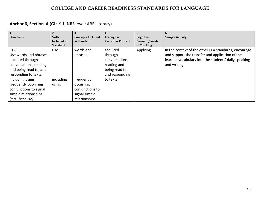## **Anchor 6, Section A** (GL: K-1, NRS level: ABE Literacy)

| $\mathbf{1}$           |                 |                          |                           |                      |                                                      |
|------------------------|-----------------|--------------------------|---------------------------|----------------------|------------------------------------------------------|
| <b>Standards</b>       | <b>Skills</b>   | <b>Concepts Included</b> | Through a                 | Cognitive            | <b>Sample Activity</b>                               |
|                        | Included in     | in Standard              | <b>Particular Context</b> | <b>Demand/Levels</b> |                                                      |
|                        | <b>Standard</b> |                          |                           | of Thinking          |                                                      |
| L1.6                   | <b>Use</b>      | words and                | acquired                  | Applying             | In the context of the other ELA standards, encourage |
| Use words and phrases  |                 | phrases                  | through                   |                      | and support the transfer and application of the      |
| acquired through       |                 |                          | conversations,            |                      | learned vocabulary into the students' daily speaking |
| conversations, reading |                 |                          | reading and               |                      | and writing.                                         |
| and being read to, and |                 |                          | being read to,            |                      |                                                      |
| responding to texts,   |                 |                          | and responding            |                      |                                                      |
| including using        | including       | frequently               | to texts                  |                      |                                                      |
| frequently occurring   | using           | occurring                |                           |                      |                                                      |
| conjunctions to signal |                 | conjunctions to          |                           |                      |                                                      |
| simple relationships   |                 | signal simple            |                           |                      |                                                      |
| (e.g., because)        |                 | relationships            |                           |                      |                                                      |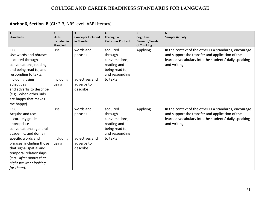## **Anchor 6, Section B** (GL: 2-3, NRS level: ABE Literacy)

| $\mathbf 1$<br><b>Standards</b>                                                                                                                                                                                                                                                          | $\overline{2}$<br><b>Skills</b> | $\overline{\mathbf{3}}$<br><b>Concepts Included</b>              | 4<br>Through a                                                                                       | 5<br>Cognitive                      | 6<br><b>Sample Activity</b>                                                                                                                                                     |
|------------------------------------------------------------------------------------------------------------------------------------------------------------------------------------------------------------------------------------------------------------------------------------------|---------------------------------|------------------------------------------------------------------|------------------------------------------------------------------------------------------------------|-------------------------------------|---------------------------------------------------------------------------------------------------------------------------------------------------------------------------------|
|                                                                                                                                                                                                                                                                                          | Included in<br><b>Standard</b>  | in Standard                                                      | <b>Particular Context</b>                                                                            | <b>Demand/Levels</b><br>of Thinking |                                                                                                                                                                                 |
| L2.6<br>Use words and phrases<br>acquired through<br>conversations, reading<br>and being read to, and<br>responding to texts,<br>including using<br>adjectives<br>and adverbs to describe<br>(e.g., When other kids<br>are happy that makes<br>me happy).                                | Use<br>Including<br>using       | words and<br>phrases<br>adjectives and<br>adverbs to<br>describe | acquired<br>through<br>conversations,<br>reading and<br>being read to,<br>and responding<br>to texts | Applying                            | In the context of the other ELA standards, encourage<br>and support the transfer and application of the<br>learned vocabulary into the students' daily speaking<br>and writing. |
| L3.6<br>Acquire and use<br>accurately grade-<br>appropriate<br>conversational, general<br>academic, and domain<br>specific words and<br>phrases, including those<br>that signal spatial and<br>temporal relationships<br>(e.g., After dinner that<br>night we went looking<br>for them). | Use<br>including<br>using       | words and<br>phrases<br>adjectives and<br>adverbs to<br>describe | acquired<br>through<br>conversations,<br>reading and<br>being read to,<br>and responding<br>to texts | Applying                            | In the context of the other ELA standards, encourage<br>and support the transfer and application of the<br>learned vocabulary into the students' daily speaking<br>and writing. |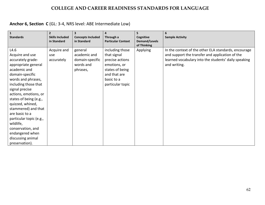# **Anchor 6, Section C** (GL: 3-4, NRS level: ABE Intermediate Low)

| $\mathbf{1}$<br><b>Standards</b>                                                                                                                                                                                                                                                                                                                                                                              | $\overline{2}$<br><b>Skills Included</b><br>in Standard | 3<br><b>Concepts Included</b><br>in Standard                        | 4<br>Through a<br><b>Particular Context</b>                                                                                            | 5<br>Cognitive<br><b>Demand/Levels</b><br>of Thinking | 6<br><b>Sample Activity</b>                                                                                                                                                     |
|---------------------------------------------------------------------------------------------------------------------------------------------------------------------------------------------------------------------------------------------------------------------------------------------------------------------------------------------------------------------------------------------------------------|---------------------------------------------------------|---------------------------------------------------------------------|----------------------------------------------------------------------------------------------------------------------------------------|-------------------------------------------------------|---------------------------------------------------------------------------------------------------------------------------------------------------------------------------------|
| L4.6<br>Acquire and use<br>accurately grade-<br>appropriate general<br>academic and<br>domain-specific<br>words and phrases,<br>including those that<br>signal precise<br>actions, emotions, or<br>states of being (e.g.,<br>quizzed, whined,<br>stammered) and that<br>are basic to a<br>particular topic (e.g.,<br>wildlife,<br>conservation, and<br>endangered when<br>discussing animal<br>preservation). | Acquire and<br>use<br>accurately                        | general<br>academic and<br>domain-specific<br>words and<br>phrases, | including those<br>that signal<br>precise actions<br>emotions, or<br>states of being<br>and that are<br>basic to a<br>particular topic | <b>Applying</b>                                       | In the context of the other ELA standards, encourage<br>and support the transfer and application of the<br>learned vocabulary into the students' daily speaking<br>and writing. |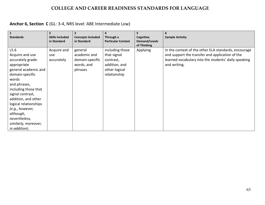## **Anchor 6, Section C** (GL: 3-4, NRS level: ABE Intermediate Low)

| $\mathbf{1}$<br><b>Standards</b>                                                                                                                                                                                                                                                                                      | $\overline{2}$<br><b>Skills Included</b><br>in Standard | 3<br><b>Concepts Included</b><br>in Standard                        | 4<br>Through a<br><b>Particular Context</b>                                                   | 5<br>Cognitive<br><b>Demand/Levels</b><br>of Thinking | 6<br><b>Sample Activity</b>                                                                                                                                                     |
|-----------------------------------------------------------------------------------------------------------------------------------------------------------------------------------------------------------------------------------------------------------------------------------------------------------------------|---------------------------------------------------------|---------------------------------------------------------------------|-----------------------------------------------------------------------------------------------|-------------------------------------------------------|---------------------------------------------------------------------------------------------------------------------------------------------------------------------------------|
| L5.6<br>Acquire and use<br>accurately grade-<br>appropriate<br>general academic and<br>domain-specific<br>words<br>and phrases,<br>including those that<br>signal contrast,<br>addition, and other<br>logical relationships<br>(e.g., however,<br>although,<br>nevertheless,<br>similarly, moreover,<br>in addition). | Acquire and<br>use<br>accurately                        | general<br>academic and<br>domain-specific<br>words, and<br>phrases | including those<br>that signal<br>contrast,<br>addition, and<br>other logical<br>relationship | <b>Applying</b>                                       | In the context of the other ELA standards, encourage<br>and support the transfer and application of the<br>learned vocabulary into the students' daily speaking<br>and writing. |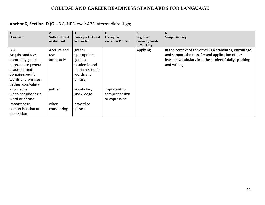## **Anchor 6, Section D** (GL: 6-8, NRS level: ABE Intermediate High)

| $\overline{1}$<br><b>Standards</b> | $\overline{2}$<br><b>Skills Included</b><br>in Standard | 3<br><b>Concepts Included</b><br>in Standard | 4<br>Through a<br><b>Particular Context</b> | 5<br>Cognitive<br>Demand/Levels | 6<br><b>Sample Activity</b>                          |
|------------------------------------|---------------------------------------------------------|----------------------------------------------|---------------------------------------------|---------------------------------|------------------------------------------------------|
|                                    |                                                         |                                              |                                             | of Thinking                     |                                                      |
| L8.6                               | Acquire and                                             | grade-                                       |                                             | Applying                        | In the context of the other ELA standards, encourage |
| Acquire and use                    | use.                                                    | appropriate                                  |                                             |                                 | and support the transfer and application of the      |
| accurately grade-                  | accurately                                              | general                                      |                                             |                                 | learned vocabulary into the students' daily speaking |
| appropriate general                |                                                         | academic and                                 |                                             |                                 | and writing.                                         |
| academic and                       |                                                         | domain-specific                              |                                             |                                 |                                                      |
| domain-specific                    |                                                         | words and                                    |                                             |                                 |                                                      |
| words and phrases;                 |                                                         | phrase;                                      |                                             |                                 |                                                      |
| gather vocabulary                  |                                                         |                                              |                                             |                                 |                                                      |
| knowledge                          | gather                                                  | vocabulary                                   | important to                                |                                 |                                                      |
| when considering a                 |                                                         | knowledge                                    | comprehension                               |                                 |                                                      |
| word or phrase                     |                                                         |                                              | or expression                               |                                 |                                                      |
| important to                       | when                                                    | a word or                                    |                                             |                                 |                                                      |
| comprehension or                   | considering                                             | phrase                                       |                                             |                                 |                                                      |
| expression.                        |                                                         |                                              |                                             |                                 |                                                      |